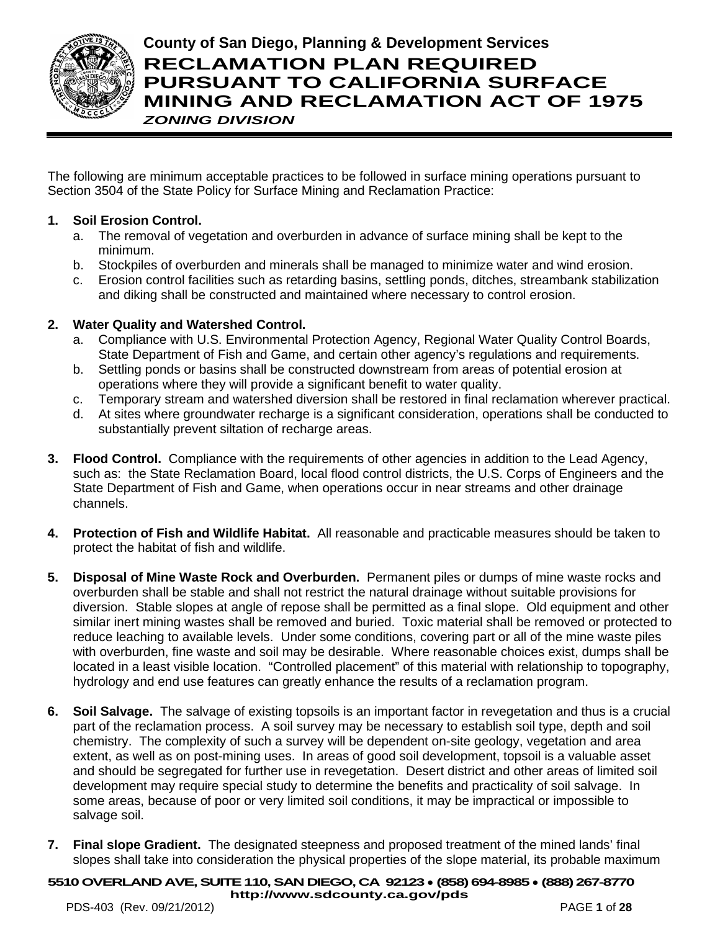

**County of San Diego, Planning & Development Services RECLAMATION PLAN REQUIRED PURSUANT TO CALIFORNIA SURFACE MINING AND RECLAMATION ACT OF 1975** *ZONING DIVISION*

The following are minimum acceptable practices to be followed in surface mining operations pursuant to Section 3504 of the State Policy for Surface Mining and Reclamation Practice:

# **1. Soil Erosion Control.**

- a. The removal of vegetation and overburden in advance of surface mining shall be kept to the minimum.
- b. Stockpiles of overburden and minerals shall be managed to minimize water and wind erosion.
- c. Erosion control facilities such as retarding basins, settling ponds, ditches, streambank stabilization and diking shall be constructed and maintained where necessary to control erosion.

# **2. Water Quality and Watershed Control.**

- a. Compliance with U.S. Environmental Protection Agency, Regional Water Quality Control Boards, State Department of Fish and Game, and certain other agency's regulations and requirements.
- b. Settling ponds or basins shall be constructed downstream from areas of potential erosion at operations where they will provide a significant benefit to water quality.
- c. Temporary stream and watershed diversion shall be restored in final reclamation wherever practical.
- d. At sites where groundwater recharge is a significant consideration, operations shall be conducted to substantially prevent siltation of recharge areas.
- **3. Flood Control.** Compliance with the requirements of other agencies in addition to the Lead Agency, such as: the State Reclamation Board, local flood control districts, the U.S. Corps of Engineers and the State Department of Fish and Game, when operations occur in near streams and other drainage channels.
- **4. Protection of Fish and Wildlife Habitat.** All reasonable and practicable measures should be taken to protect the habitat of fish and wildlife.
- **5. Disposal of Mine Waste Rock and Overburden.** Permanent piles or dumps of mine waste rocks and overburden shall be stable and shall not restrict the natural drainage without suitable provisions for diversion. Stable slopes at angle of repose shall be permitted as a final slope. Old equipment and other similar inert mining wastes shall be removed and buried. Toxic material shall be removed or protected to reduce leaching to available levels. Under some conditions, covering part or all of the mine waste piles with overburden, fine waste and soil may be desirable. Where reasonable choices exist, dumps shall be located in a least visible location. "Controlled placement" of this material with relationship to topography, hydrology and end use features can greatly enhance the results of a reclamation program.
- **6. Soil Salvage.** The salvage of existing topsoils is an important factor in revegetation and thus is a crucial part of the reclamation process. A soil survey may be necessary to establish soil type, depth and soil chemistry. The complexity of such a survey will be dependent on-site geology, vegetation and area extent, as well as on post-mining uses. In areas of good soil development, topsoil is a valuable asset and should be segregated for further use in revegetation. Desert district and other areas of limited soil development may require special study to determine the benefits and practicality of soil salvage. In some areas, because of poor or very limited soil conditions, it may be impractical or impossible to salvage soil.
- **7. Final slope Gradient.** The designated steepness and proposed treatment of the mined lands' final slopes shall take into consideration the physical properties of the slope material, its probable maximum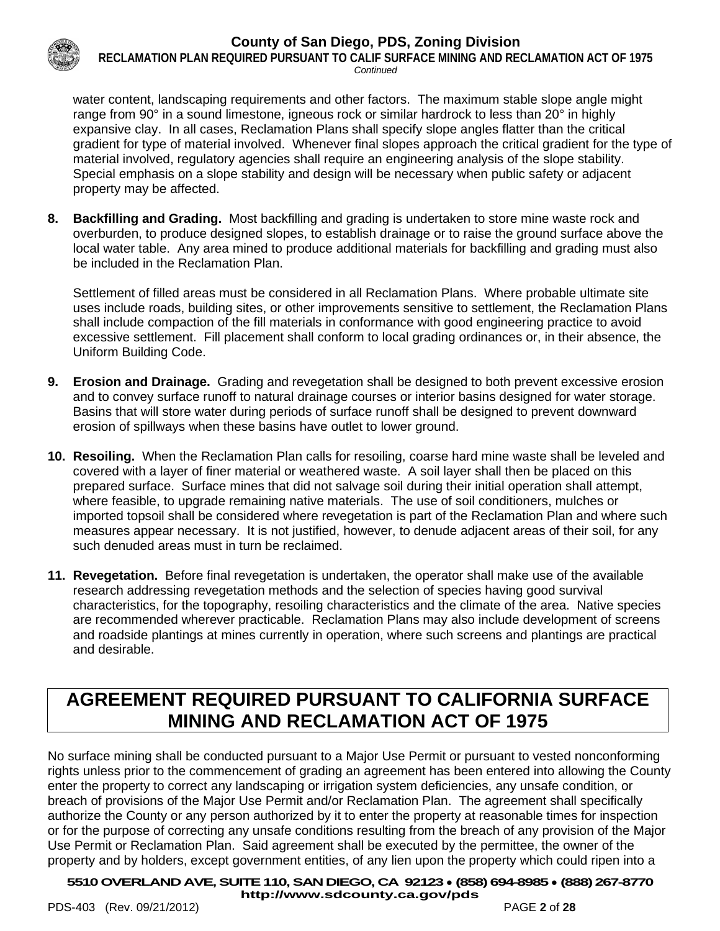

**RECLAMATION PLAN REQUIRED PURSUANT TO CALIF SURFACE MINING AND RECLAMATION ACT OF 1975** *Continued*

water content, landscaping requirements and other factors. The maximum stable slope angle might range from 90° in a sound limestone, igneous rock or similar hardrock to less than 20° in highly expansive clay. In all cases, Reclamation Plans shall specify slope angles flatter than the critical gradient for type of material involved. Whenever final slopes approach the critical gradient for the type of material involved, regulatory agencies shall require an engineering analysis of the slope stability. Special emphasis on a slope stability and design will be necessary when public safety or adjacent property may be affected.

**8. Backfilling and Grading.** Most backfilling and grading is undertaken to store mine waste rock and overburden, to produce designed slopes, to establish drainage or to raise the ground surface above the local water table. Any area mined to produce additional materials for backfilling and grading must also be included in the Reclamation Plan.

Settlement of filled areas must be considered in all Reclamation Plans. Where probable ultimate site uses include roads, building sites, or other improvements sensitive to settlement, the Reclamation Plans shall include compaction of the fill materials in conformance with good engineering practice to avoid excessive settlement. Fill placement shall conform to local grading ordinances or, in their absence, the Uniform Building Code.

- **9. Erosion and Drainage.** Grading and revegetation shall be designed to both prevent excessive erosion and to convey surface runoff to natural drainage courses or interior basins designed for water storage. Basins that will store water during periods of surface runoff shall be designed to prevent downward erosion of spillways when these basins have outlet to lower ground.
- **10. Resoiling.** When the Reclamation Plan calls for resoiling, coarse hard mine waste shall be leveled and covered with a layer of finer material or weathered waste. A soil layer shall then be placed on this prepared surface. Surface mines that did not salvage soil during their initial operation shall attempt, where feasible, to upgrade remaining native materials. The use of soil conditioners, mulches or imported topsoil shall be considered where revegetation is part of the Reclamation Plan and where such measures appear necessary. It is not justified, however, to denude adjacent areas of their soil, for any such denuded areas must in turn be reclaimed.
- **11. Revegetation.** Before final revegetation is undertaken, the operator shall make use of the available research addressing revegetation methods and the selection of species having good survival characteristics, for the topography, resoiling characteristics and the climate of the area. Native species are recommended wherever practicable. Reclamation Plans may also include development of screens and roadside plantings at mines currently in operation, where such screens and plantings are practical and desirable.

# **AGREEMENT REQUIRED PURSUANT TO CALIFORNIA SURFACE MINING AND RECLAMATION ACT OF 1975**

No surface mining shall be conducted pursuant to a Major Use Permit or pursuant to vested nonconforming rights unless prior to the commencement of grading an agreement has been entered into allowing the County enter the property to correct any landscaping or irrigation system deficiencies, any unsafe condition, or breach of provisions of the Major Use Permit and/or Reclamation Plan. The agreement shall specifically authorize the County or any person authorized by it to enter the property at reasonable times for inspection or for the purpose of correcting any unsafe conditions resulting from the breach of any provision of the Major Use Permit or Reclamation Plan. Said agreement shall be executed by the permittee, the owner of the property and by holders, except government entities, of any lien upon the property which could ripen into a

**5510OVERLAND AVE, SUITE 110, SAN DIEGO, CA 92123** ● **(858) 694-8985** ● **(888) 267-8770**

**<http://www.sdcounty.ca.gov/pds>**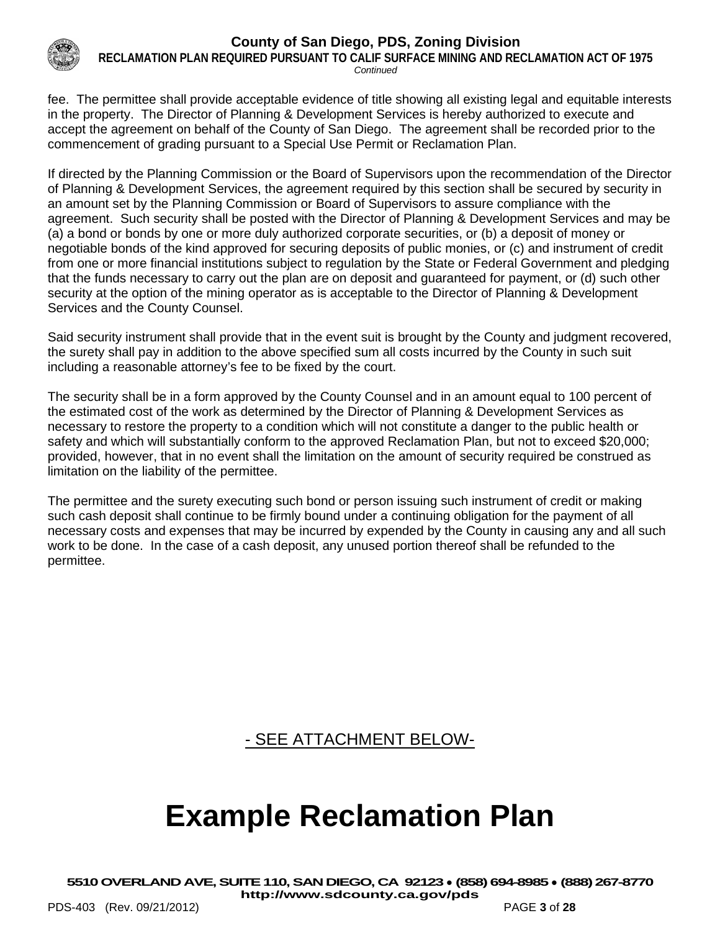

**RECLAMATION PLAN REQUIRED PURSUANT TO CALIF SURFACE MINING AND RECLAMATION ACT OF 1975** *Continued*

fee. The permittee shall provide acceptable evidence of title showing all existing legal and equitable interests in the property. The Director of Planning & Development Services is hereby authorized to execute and accept the agreement on behalf of the County of San Diego. The agreement shall be recorded prior to the commencement of grading pursuant to a Special Use Permit or Reclamation Plan.

If directed by the Planning Commission or the Board of Supervisors upon the recommendation of the Director of Planning & Development Services, the agreement required by this section shall be secured by security in an amount set by the Planning Commission or Board of Supervisors to assure compliance with the agreement. Such security shall be posted with the Director of Planning & Development Services and may be (a) a bond or bonds by one or more duly authorized corporate securities, or (b) a deposit of money or negotiable bonds of the kind approved for securing deposits of public monies, or (c) and instrument of credit from one or more financial institutions subject to regulation by the State or Federal Government and pledging that the funds necessary to carry out the plan are on deposit and guaranteed for payment, or (d) such other security at the option of the mining operator as is acceptable to the Director of Planning & Development Services and the County Counsel.

Said security instrument shall provide that in the event suit is brought by the County and judgment recovered, the surety shall pay in addition to the above specified sum all costs incurred by the County in such suit including a reasonable attorney's fee to be fixed by the court.

The security shall be in a form approved by the County Counsel and in an amount equal to 100 percent of the estimated cost of the work as determined by the Director of Planning & Development Services as necessary to restore the property to a condition which will not constitute a danger to the public health or safety and which will substantially conform to the approved Reclamation Plan, but not to exceed \$20,000; provided, however, that in no event shall the limitation on the amount of security required be construed as limitation on the liability of the permittee.

The permittee and the surety executing such bond or person issuing such instrument of credit or making such cash deposit shall continue to be firmly bound under a continuing obligation for the payment of all necessary costs and expenses that may be incurred by expended by the County in causing any and all such work to be done. In the case of a cash deposit, any unused portion thereof shall be refunded to the permittee.

- SEE ATTACHMENT BELOW-

# **Example Reclamation Plan**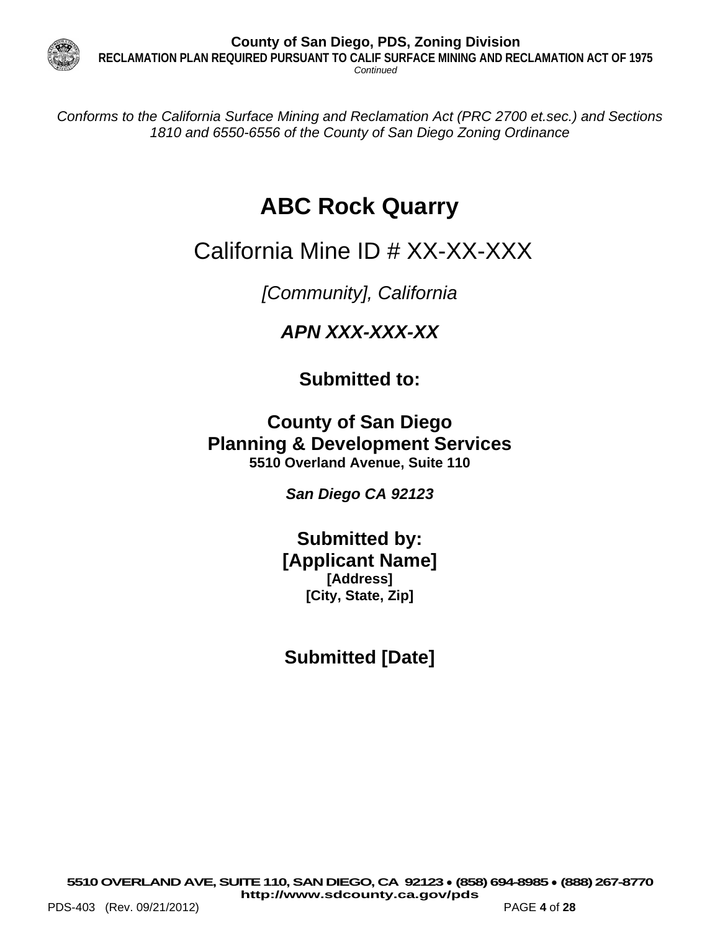

**County of San Diego, PDS, Zoning Division RECLAMATION PLAN REQUIRED PURSUANT TO CALIF SURFACE MINING AND RECLAMATION ACT OF 1975** *Continued*

*Conforms to the California Surface Mining and Reclamation Act (PRC 2700 et.sec.) and Sections 1810 and 6550-6556 of the County of San Diego Zoning Ordinance*

# **ABC Rock Quarry**

# California Mine ID # XX-XX-XXX

*[Community], California*

*APN XXX-XXX-XX*

**Submitted to:**

**County of San Diego Planning & Development Services 5510 Overland Avenue, Suite 110**

*San Diego CA 92123*

**Submitted by: [Applicant Name] [Address] [City, State, Zip]**

**Submitted [Date]**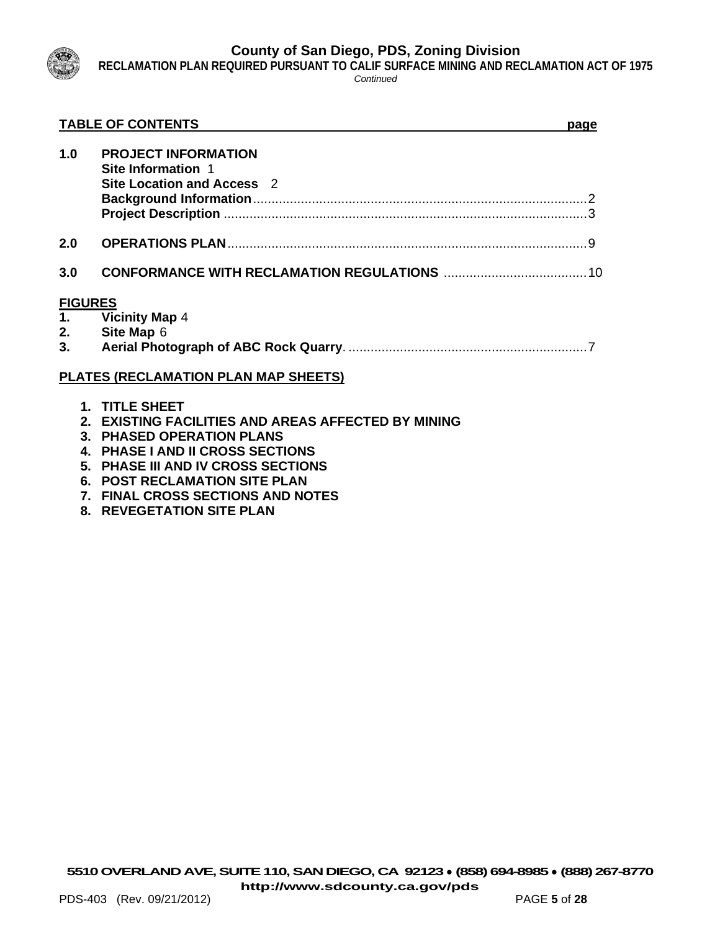

**RECLAMATION PLAN REQUIRED PURSUANT TO CALIF SURFACE MINING AND RECLAMATION ACT OF 1975**

*Continued*

|     | <b>TABLE OF CONTENTS</b>                                                       | page |
|-----|--------------------------------------------------------------------------------|------|
| 1.0 | <b>PROJECT INFORMATION</b><br>Site Information 1<br>Site Location and Access 2 |      |
|     |                                                                                |      |
| 2.0 |                                                                                |      |
| 3.0 |                                                                                |      |
|     | <b>FIGURES</b>                                                                 |      |
|     | 1. Vicinity Map 4                                                              |      |
|     | 2. Site Map 6                                                                  |      |
|     |                                                                                |      |
|     | <b>PLATES (RECLAMATION PLAN MAP SHEETS)</b>                                    |      |
|     | 1. TITLE SHEET                                                                 |      |
|     | 2. EXISTING FACILITIES AND AREAS AFFECTED BY MINING                            |      |
|     | 3. PHASED OPERATION PLANS                                                      |      |
|     | 4. PHASE I AND II CROSS SECTIONS                                               |      |
|     | 5. PHASE III AND IV CROSS SECTIONS                                             |      |

- **6. POST RECLAMATION SITE PLAN**
- **7. FINAL CROSS SECTIONS AND NOTES**
- **8. REVEGETATION SITE PLAN**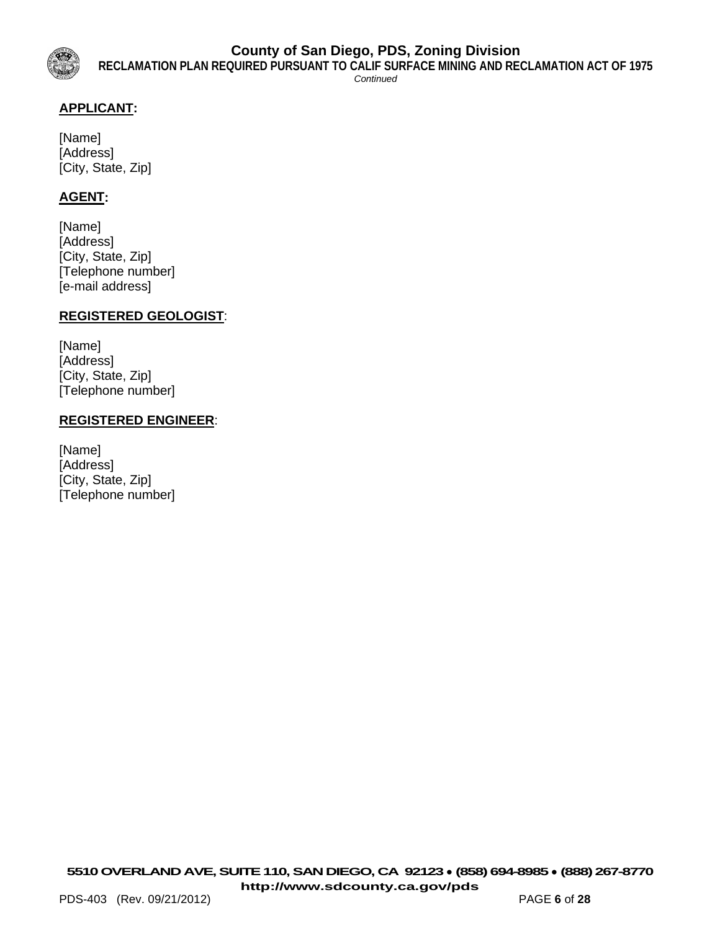

*Continued*

# **APPLICANT:**

[Name] [Address] [City, State, Zip]

# **AGENT:**

[Name] [Address] [City, State, Zip] [Telephone number] [e-mail address]

#### **REGISTERED GEOLOGIST**:

[Name] [Address] [City, State, Zip] [Telephone number]

#### **REGISTERED ENGINEER**:

[Name] [Address] [City, State, Zip] [Telephone number]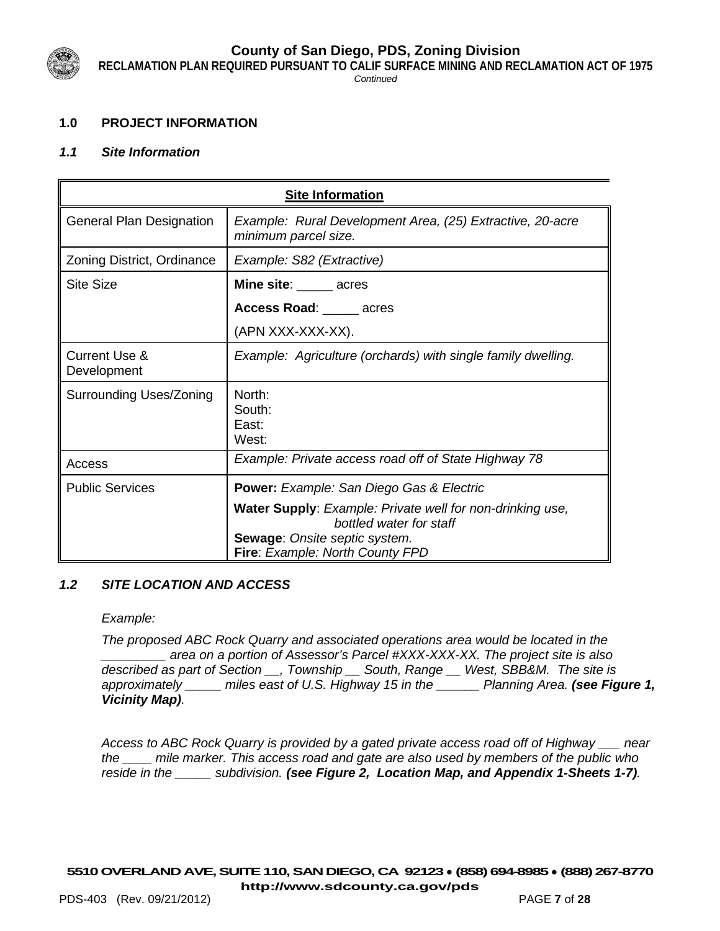

**RECLAMATION PLAN REQUIRED PURSUANT TO CALIF SURFACE MINING AND RECLAMATION ACT OF 1975**

*Continued*

# **1.0 PROJECT INFORMATION**

# *1.1 Site Information*

| <b>Site Information</b>                 |                                                                                                                                                                        |  |  |
|-----------------------------------------|------------------------------------------------------------------------------------------------------------------------------------------------------------------------|--|--|
| <b>General Plan Designation</b>         | Example: Rural Development Area, (25) Extractive, 20-acre<br>minimum parcel size.                                                                                      |  |  |
| Zoning District, Ordinance              | Example: S82 (Extractive)                                                                                                                                              |  |  |
| <b>Site Size</b>                        | Mine site: ______ acres                                                                                                                                                |  |  |
|                                         | Access Road: _____ acres                                                                                                                                               |  |  |
|                                         | (APN XXX-XXX-XX).                                                                                                                                                      |  |  |
| <b>Current Use &amp;</b><br>Development | Example: Agriculture (orchards) with single family dwelling.                                                                                                           |  |  |
| <b>Surrounding Uses/Zoning</b>          | North:<br>South:<br>East:<br>West:                                                                                                                                     |  |  |
| Access                                  | Example: Private access road off of State Highway 78                                                                                                                   |  |  |
| <b>Public Services</b>                  | <b>Power:</b> Example: San Diego Gas & Electric                                                                                                                        |  |  |
|                                         | <b>Water Supply: Example: Private well for non-drinking use,</b><br>bottled water for staff<br><b>Sewage: Onsite septic system.</b><br>Fire: Example: North County FPD |  |  |

# *1.2 SITE LOCATION AND ACCESS*

*Example:* 

*The proposed ABC Rock Quarry and associated operations area would be located in the \_\_\_\_\_\_\_\_\_ area on a portion of Assessor's Parcel #XXX-XXX-XX. The project site is also described as part of Section \_\_, Township \_\_ South, Range \_\_ West, SBB&M. The site is approximately \_\_\_\_\_ miles east of U.S. Highway 15 in the \_\_\_\_\_\_ Planning Area. (see Figure 1, Vicinity Map).* 

*Access to ABC Rock Quarry is provided by a gated private access road off of Highway \_\_\_ near the \_\_\_\_ mile marker. This access road and gate are also used by members of the public who reside in the \_\_\_\_\_ subdivision. (see Figure 2, Location Map, and Appendix 1-Sheets 1-7).*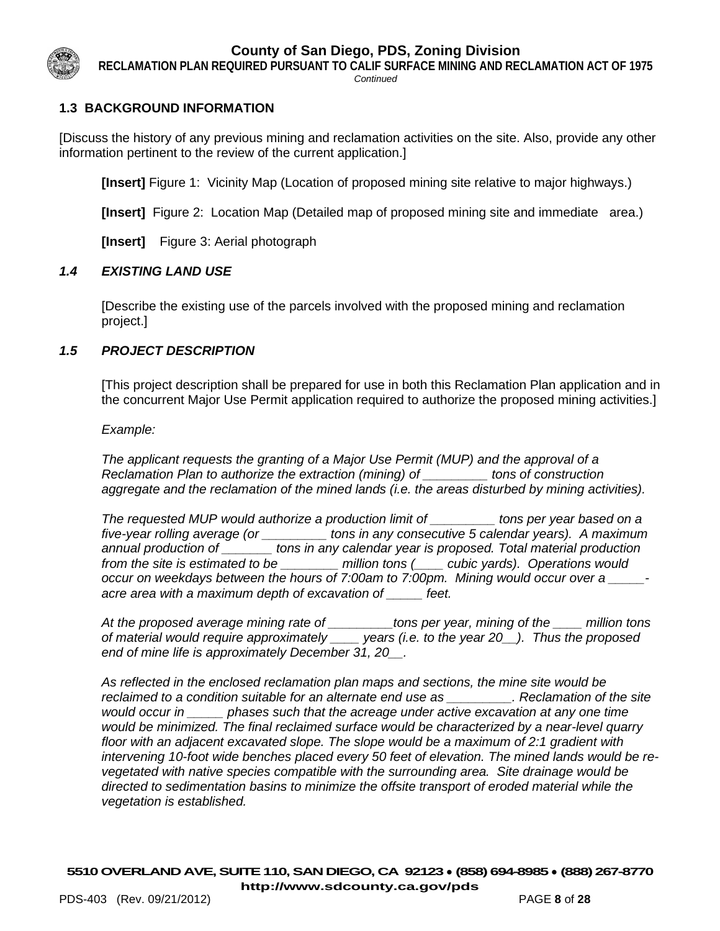

**RECLAMATION PLAN REQUIRED PURSUANT TO CALIF SURFACE MINING AND RECLAMATION ACT OF 1975**

*Continued*

# **1.3 BACKGROUND INFORMATION**

[Discuss the history of any previous mining and reclamation activities on the site. Also, provide any other information pertinent to the review of the current application.]

**[Insert]** Figure 1: Vicinity Map (Location of proposed mining site relative to major highways.)

**[Insert]** Figure 2: Location Map (Detailed map of proposed mining site and immediate area.)

**[Insert]** Figure 3: Aerial photograph

#### *1.4 EXISTING LAND USE*

[Describe the existing use of the parcels involved with the proposed mining and reclamation project.]

#### *1.5 PROJECT DESCRIPTION*

[This project description shall be prepared for use in both this Reclamation Plan application and in the concurrent Major Use Permit application required to authorize the proposed mining activities.]

*Example:*

*The applicant requests the granting of a Major Use Permit (MUP) and the approval of a Reclamation Plan to authorize the extraction (mining) of \_\_\_\_\_\_\_\_\_ tons of construction aggregate and the reclamation of the mined lands (i.e. the areas disturbed by mining activities).* 

*The requested MUP would authorize a production limit of \_\_\_\_\_\_\_\_\_ tons per year based on a five-year rolling average (or \_\_\_\_\_\_\_\_\_ tons in any consecutive 5 calendar years). A maximum annual production of \_\_\_\_\_\_\_ tons in any calendar year is proposed. Total material production from the site is estimated to be \_\_\_\_\_\_\_\_ million tons (\_\_\_\_ cubic yards). Operations would occur on weekdays between the hours of 7:00am to 7:00pm. Mining would occur over a \_\_\_\_\_ acre area with a maximum depth of excavation of \_\_\_\_\_ feet.* 

*At the proposed average mining rate of \_\_\_\_\_\_\_\_\_tons per year, mining of the \_\_\_\_ million tons of material would require approximately \_\_\_\_ years (i.e. to the year 20\_\_). Thus the proposed end of mine life is approximately December 31, 20\_\_.*

*As reflected in the enclosed reclamation plan maps and sections, the mine site would be reclaimed to a condition suitable for an alternate end use as \_\_\_\_\_\_\_\_\_. Reclamation of the site would occur in \_\_\_\_\_ phases such that the acreage under active excavation at any one time would be minimized. The final reclaimed surface would be characterized by a near-level quarry floor with an adjacent excavated slope. The slope would be a maximum of 2:1 gradient with intervening 10-foot wide benches placed every 50 feet of elevation. The mined lands would be revegetated with native species compatible with the surrounding area. Site drainage would be directed to sedimentation basins to minimize the offsite transport of eroded material while the vegetation is established.*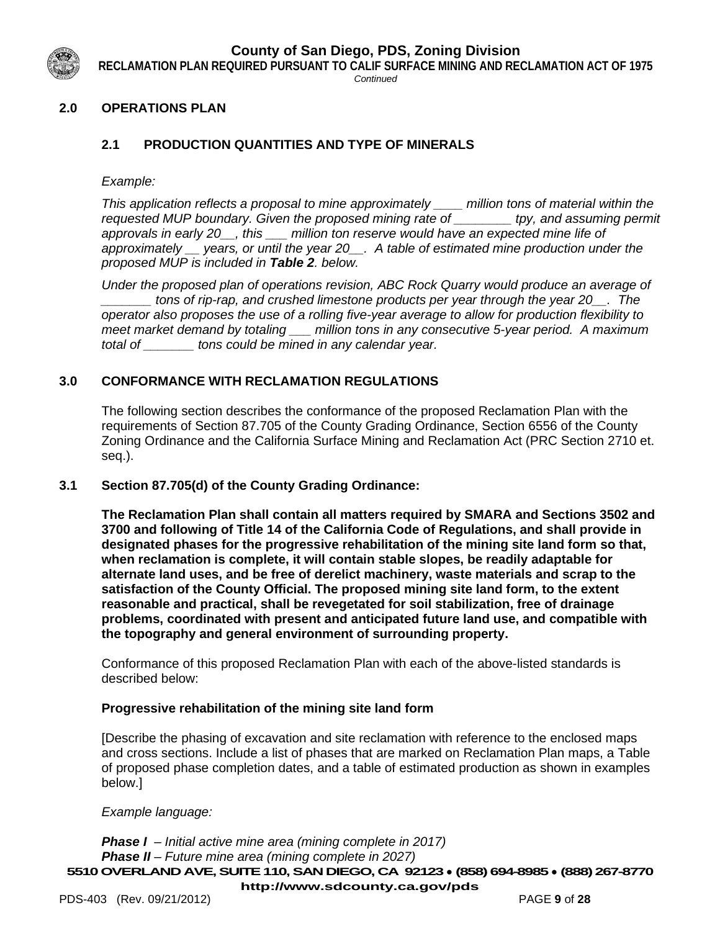

**RECLAMATION PLAN REQUIRED PURSUANT TO CALIF SURFACE MINING AND RECLAMATION ACT OF 1975**

*Continued*

# **2.0 OPERATIONS PLAN**

# **2.1 PRODUCTION QUANTITIES AND TYPE OF MINERALS**

*Example:*

*This application reflects a proposal to mine approximately \_\_\_\_ million tons of material within the requested MUP boundary. Given the proposed mining rate of \_\_\_\_\_\_\_\_ tpy, and assuming permit approvals in early 20\_\_, this \_\_\_ million ton reserve would have an expected mine life of approximately \_\_ years, or until the year 20\_\_. A table of estimated mine production under the proposed MUP is included in Table 2. below.* 

*Under the proposed plan of operations revision, ABC Rock Quarry would produce an average of \_\_\_\_\_\_\_ tons of rip-rap, and crushed limestone products per year through the year 20\_\_. The operator also proposes the use of a rolling five-year average to allow for production flexibility to meet market demand by totaling \_\_\_ million tons in any consecutive 5-year period. A maximum total of \_\_\_\_\_\_\_ tons could be mined in any calendar year.*

# **3.0 CONFORMANCE WITH RECLAMATION REGULATIONS**

The following section describes the conformance of the proposed Reclamation Plan with the requirements of Section 87.705 of the County Grading Ordinance, Section 6556 of the County Zoning Ordinance and the California Surface Mining and Reclamation Act (PRC Section 2710 et. seq.).

#### **3.1 Section 87.705(d) of the County Grading Ordinance:**

**The Reclamation Plan shall contain all matters required by SMARA and Sections 3502 and 3700 and following of Title 14 of the California Code of Regulations, and shall provide in designated phases for the progressive rehabilitation of the mining site land form so that, when reclamation is complete, it will contain stable slopes, be readily adaptable for alternate land uses, and be free of derelict machinery, waste materials and scrap to the satisfaction of the County Official. The proposed mining site land form, to the extent reasonable and practical, shall be revegetated for soil stabilization, free of drainage problems, coordinated with present and anticipated future land use, and compatible with the topography and general environment of surrounding property.** 

Conformance of this proposed Reclamation Plan with each of the above-listed standards is described below:

#### **Progressive rehabilitation of the mining site land form**

[Describe the phasing of excavation and site reclamation with reference to the enclosed maps and cross sections. Include a list of phases that are marked on Reclamation Plan maps, a Table of proposed phase completion dates, and a table of estimated production as shown in examples below.]

#### *Example language:*

**5510OVERLAND AVE, SUITE 110, SAN DIEGO, CA 92123** ● **(858) 694-8985** ● **(888) 267-8770 <http://www.sdcounty.ca.gov/pds>** *Phase I – Initial active mine area (mining complete in 2017) Phase II – Future mine area (mining complete in 2027)*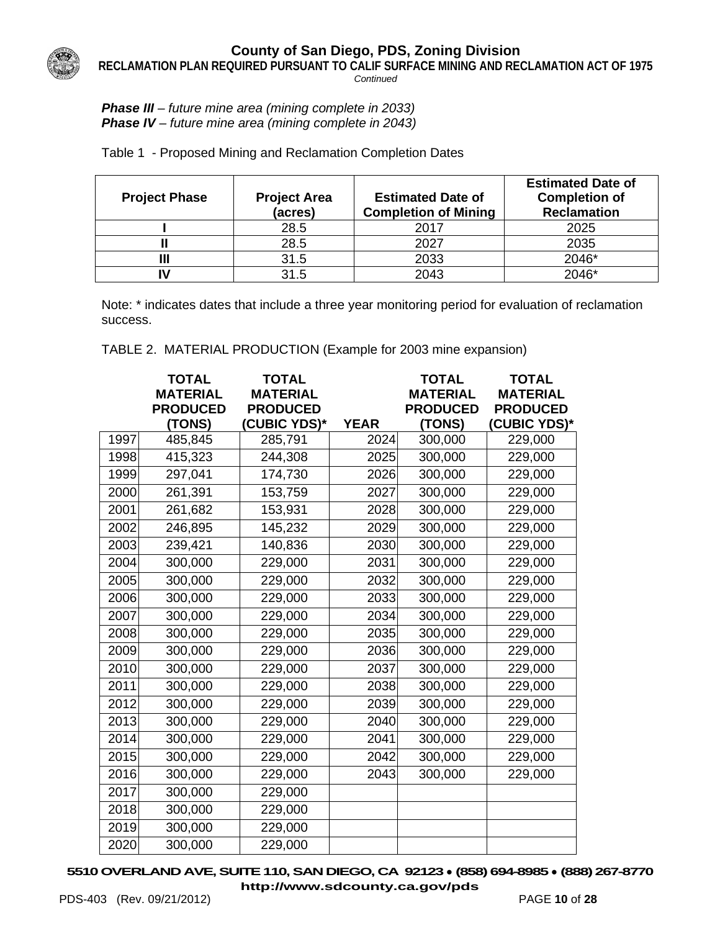

**RECLAMATION PLAN REQUIRED PURSUANT TO CALIF SURFACE MINING AND RECLAMATION ACT OF 1975**

*Continued*

#### *Phase III – future mine area (mining complete in 2033) Phase IV – future mine area (mining complete in 2043)*

Table 1 - Proposed Mining and Reclamation Completion Dates

| <b>Project Phase</b> | <b>Project Area</b><br>(acres) | <b>Estimated Date of</b><br><b>Completion of Mining</b> | <b>Estimated Date of</b><br><b>Completion of</b><br><b>Reclamation</b> |
|----------------------|--------------------------------|---------------------------------------------------------|------------------------------------------------------------------------|
|                      | 28.5                           | 2017                                                    | 2025                                                                   |
|                      | 28.5                           | 2027                                                    | 2035                                                                   |
|                      | 31.5                           | 2033                                                    | 2046*                                                                  |
|                      | 31.5                           | 2043                                                    | 2046*                                                                  |

Note: \* indicates dates that include a three year monitoring period for evaluation of reclamation success.

TABLE 2. MATERIAL PRODUCTION (Example for 2003 mine expansion)

|      | <b>TOTAL</b><br><b>MATERIAL</b><br><b>PRODUCED</b> | <b>TOTAL</b><br><b>MATERIAL</b><br><b>PRODUCED</b> |             | <b>TOTAL</b><br><b>MATERIAL</b><br><b>PRODUCED</b> | <b>TOTAL</b><br><b>MATERIAL</b><br><b>PRODUCED</b> |
|------|----------------------------------------------------|----------------------------------------------------|-------------|----------------------------------------------------|----------------------------------------------------|
|      | (TONS)                                             | <b>(CUBIC YDS)*</b>                                | <b>YEAR</b> | (TONS)                                             | (CUBIC YDS)*                                       |
| 1997 | 485,845                                            | 285,791                                            | 2024        | 300,000                                            | 229,000                                            |
| 1998 | 415,323                                            | 244,308                                            | 2025        | 300,000                                            | 229,000                                            |
| 1999 | 297,041                                            | 174,730                                            | 2026        | 300,000                                            | 229,000                                            |
| 2000 | 261,391                                            | 153,759                                            | 2027        | 300,000                                            | 229,000                                            |
| 2001 | 261,682                                            | 153,931                                            | 2028        | 300,000                                            | 229,000                                            |
| 2002 | 246,895                                            | 145,232                                            | 2029        | 300,000                                            | 229,000                                            |
| 2003 | 239,421                                            | 140,836                                            | 2030        | 300,000                                            | 229,000                                            |
| 2004 | 300,000                                            | 229,000                                            | 2031        | 300,000                                            | 229,000                                            |
| 2005 | 300,000                                            | 229,000                                            | 2032        | 300,000                                            | 229,000                                            |
| 2006 | 300,000                                            | 229,000                                            | 2033        | 300,000                                            | 229,000                                            |
| 2007 | 300,000                                            | 229,000                                            | 2034        | 300,000                                            | 229,000                                            |
| 2008 | 300,000                                            | 229,000                                            | 2035        | 300,000                                            | 229,000                                            |
| 2009 | 300,000                                            | 229,000                                            | 2036        | 300,000                                            | 229,000                                            |
| 2010 | 300,000                                            | 229,000                                            | 2037        | 300,000                                            | 229,000                                            |
| 2011 | 300,000                                            | 229,000                                            | 2038        | 300,000                                            | 229,000                                            |
| 2012 | 300,000                                            | 229,000                                            | 2039        | 300,000                                            | 229,000                                            |
| 2013 | 300,000                                            | 229,000                                            | 2040        | 300,000                                            | 229,000                                            |
| 2014 | 300,000                                            | 229,000                                            | 2041        | 300,000                                            | 229,000                                            |
| 2015 | 300,000                                            | 229,000                                            | 2042        | 300,000                                            | 229,000                                            |
| 2016 | 300,000                                            | 229,000                                            | 2043        | 300,000                                            | 229,000                                            |
| 2017 | 300,000                                            | 229,000                                            |             |                                                    |                                                    |
| 2018 | 300,000                                            | 229,000                                            |             |                                                    |                                                    |
| 2019 | 300,000                                            | 229,000                                            |             |                                                    |                                                    |
| 2020 | 300,000                                            | 229,000                                            |             |                                                    |                                                    |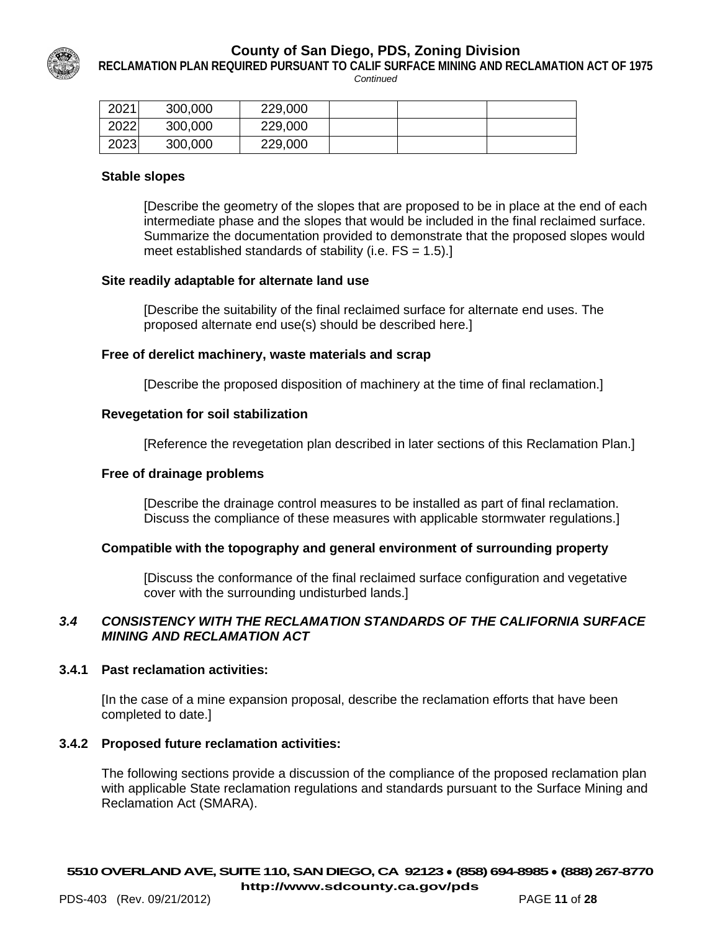

**RECLAMATION PLAN REQUIRED PURSUANT TO CALIF SURFACE MINING AND RECLAMATION ACT OF 1975**

*Continued*

| 2021 | 300,000 | 229,000 |  |  |
|------|---------|---------|--|--|
| 2022 | 300,000 | 229,000 |  |  |
| 2023 | 300,000 | 229,000 |  |  |

#### **Stable slopes**

[Describe the geometry of the slopes that are proposed to be in place at the end of each intermediate phase and the slopes that would be included in the final reclaimed surface. Summarize the documentation provided to demonstrate that the proposed slopes would meet established standards of stability (i.e.  $FS = 1.5$ ).]

#### **Site readily adaptable for alternate land use**

[Describe the suitability of the final reclaimed surface for alternate end uses. The proposed alternate end use(s) should be described here.]

#### **Free of derelict machinery, waste materials and scrap**

[Describe the proposed disposition of machinery at the time of final reclamation.]

#### **Revegetation for soil stabilization**

[Reference the revegetation plan described in later sections of this Reclamation Plan.]

#### **Free of drainage problems**

[Describe the drainage control measures to be installed as part of final reclamation. Discuss the compliance of these measures with applicable stormwater regulations.]

#### **Compatible with the topography and general environment of surrounding property**

[Discuss the conformance of the final reclaimed surface configuration and vegetative cover with the surrounding undisturbed lands.]

#### *3.4 CONSISTENCY WITH THE RECLAMATION STANDARDS OF THE CALIFORNIA SURFACE MINING AND RECLAMATION ACT*

#### **3.4.1 Past reclamation activities:**

[In the case of a mine expansion proposal, describe the reclamation efforts that have been completed to date.]

#### **3.4.2 Proposed future reclamation activities:**

The following sections provide a discussion of the compliance of the proposed reclamation plan with applicable State reclamation regulations and standards pursuant to the Surface Mining and Reclamation Act (SMARA).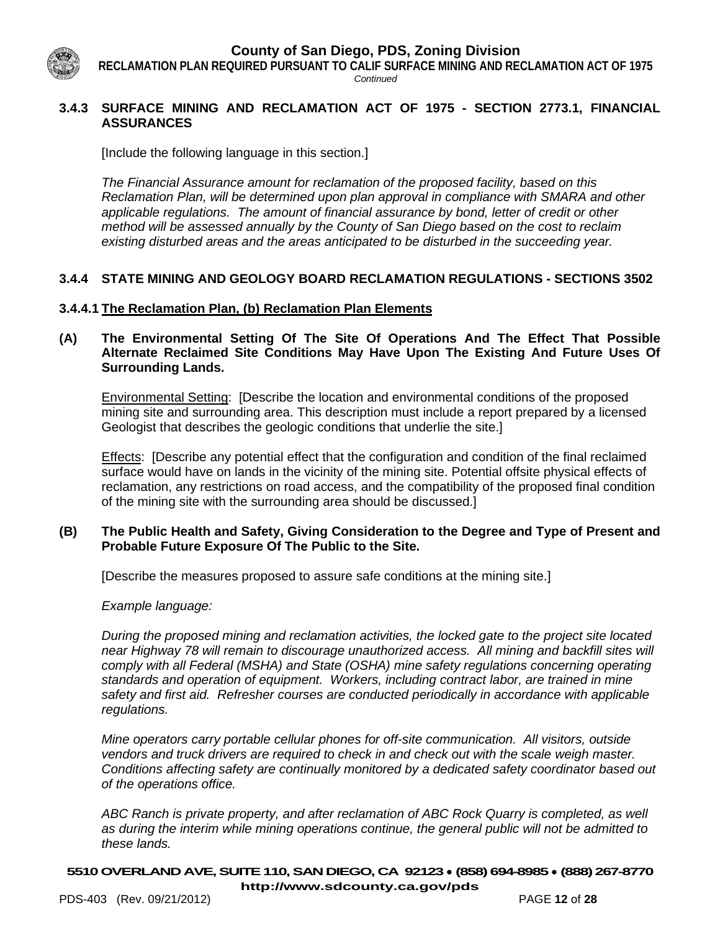**RECLAMATION PLAN REQUIRED PURSUANT TO CALIF SURFACE MINING AND RECLAMATION ACT OF 1975**

*Continued*

#### **3.4.3 SURFACE MINING AND RECLAMATION ACT OF 1975 - SECTION 2773.1, FINANCIAL ASSURANCES**

[Include the following language in this section.]

*The Financial Assurance amount for reclamation of the proposed facility, based on this Reclamation Plan, will be determined upon plan approval in compliance with SMARA and other applicable regulations. The amount of financial assurance by bond, letter of credit or other method will be assessed annually by the County of San Diego based on the cost to reclaim existing disturbed areas and the areas anticipated to be disturbed in the succeeding year.* 

# **3.4.4 STATE MINING AND GEOLOGY BOARD RECLAMATION REGULATIONS - SECTIONS 3502**

# **3.4.4.1 The Reclamation Plan, (b) Reclamation Plan Elements**

**(A) The Environmental Setting Of The Site Of Operations And The Effect That Possible Alternate Reclaimed Site Conditions May Have Upon The Existing And Future Uses Of Surrounding Lands.**

Environmental Setting: [Describe the location and environmental conditions of the proposed mining site and surrounding area. This description must include a report prepared by a licensed Geologist that describes the geologic conditions that underlie the site.]

Effects: [Describe any potential effect that the configuration and condition of the final reclaimed surface would have on lands in the vicinity of the mining site. Potential offsite physical effects of reclamation, any restrictions on road access, and the compatibility of the proposed final condition of the mining site with the surrounding area should be discussed.]

#### **(B) The Public Health and Safety, Giving Consideration to the Degree and Type of Present and Probable Future Exposure Of The Public to the Site.**

[Describe the measures proposed to assure safe conditions at the mining site.]

*Example language:* 

*During the proposed mining and reclamation activities, the locked gate to the project site located near Highway 78 will remain to discourage unauthorized access. All mining and backfill sites will comply with all Federal (MSHA) and State (OSHA) mine safety regulations concerning operating standards and operation of equipment. Workers, including contract labor, are trained in mine safety and first aid. Refresher courses are conducted periodically in accordance with applicable regulations.* 

*Mine operators carry portable cellular phones for off-site communication. All visitors, outside vendors and truck drivers are required to check in and check out with the scale weigh master. Conditions affecting safety are continually monitored by a dedicated safety coordinator based out of the operations office.* 

*ABC Ranch is private property, and after reclamation of ABC Rock Quarry is completed, as well as during the interim while mining operations continue, the general public will not be admitted to these lands.*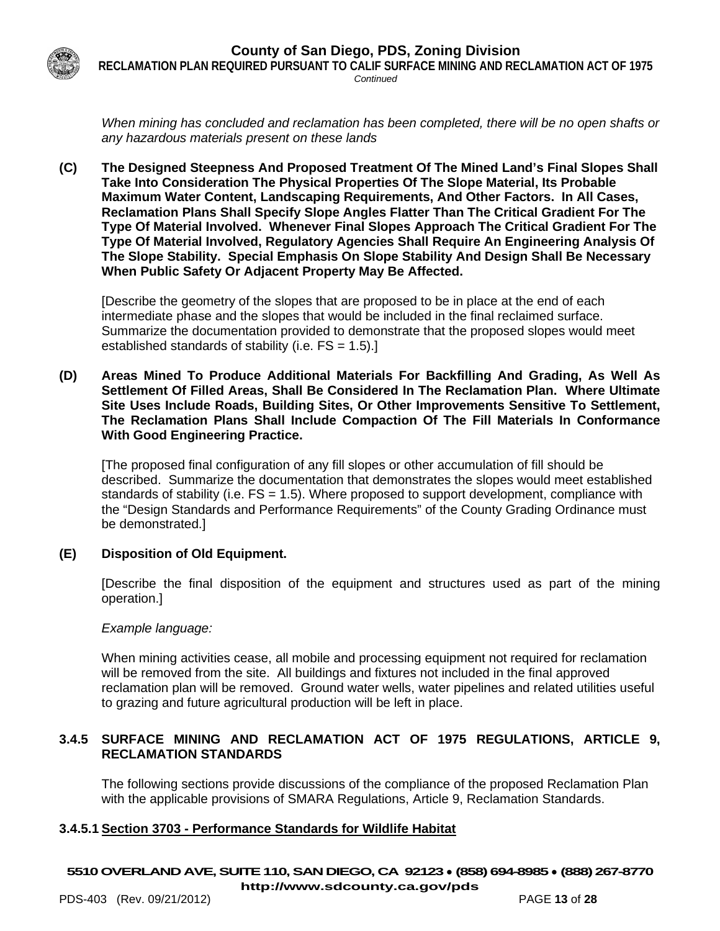

**RECLAMATION PLAN REQUIRED PURSUANT TO CALIF SURFACE MINING AND RECLAMATION ACT OF 1975** *Continued*

*When mining has concluded and reclamation has been completed, there will be no open shafts or any hazardous materials present on these lands* 

**(C) The Designed Steepness And Proposed Treatment Of The Mined Land's Final Slopes Shall Take Into Consideration The Physical Properties Of The Slope Material, Its Probable Maximum Water Content, Landscaping Requirements, And Other Factors. In All Cases, Reclamation Plans Shall Specify Slope Angles Flatter Than The Critical Gradient For The Type Of Material Involved. Whenever Final Slopes Approach The Critical Gradient For The Type Of Material Involved, Regulatory Agencies Shall Require An Engineering Analysis Of The Slope Stability. Special Emphasis On Slope Stability And Design Shall Be Necessary When Public Safety Or Adjacent Property May Be Affected.**

[Describe the geometry of the slopes that are proposed to be in place at the end of each intermediate phase and the slopes that would be included in the final reclaimed surface. Summarize the documentation provided to demonstrate that the proposed slopes would meet established standards of stability (i.e. FS = 1.5).]

**(D) Areas Mined To Produce Additional Materials For Backfilling And Grading, As Well As Settlement Of Filled Areas, Shall Be Considered In The Reclamation Plan. Where Ultimate Site Uses Include Roads, Building Sites, Or Other Improvements Sensitive To Settlement, The Reclamation Plans Shall Include Compaction Of The Fill Materials In Conformance With Good Engineering Practice.**

[The proposed final configuration of any fill slopes or other accumulation of fill should be described. Summarize the documentation that demonstrates the slopes would meet established standards of stability (i.e. FS = 1.5). Where proposed to support development, compliance with the "Design Standards and Performance Requirements" of the County Grading Ordinance must be demonstrated.]

# **(E) Disposition of Old Equipment.**

[Describe the final disposition of the equipment and structures used as part of the mining operation.]

#### *Example language:*

When mining activities cease, all mobile and processing equipment not required for reclamation will be removed from the site. All buildings and fixtures not included in the final approved reclamation plan will be removed. Ground water wells, water pipelines and related utilities useful to grazing and future agricultural production will be left in place.

#### **3.4.5 SURFACE MINING AND RECLAMATION ACT OF 1975 REGULATIONS, ARTICLE 9, RECLAMATION STANDARDS**

The following sections provide discussions of the compliance of the proposed Reclamation Plan with the applicable provisions of SMARA Regulations, Article 9, Reclamation Standards.

# **3.4.5.1 Section 3703 - Performance Standards for Wildlife Habitat**

# **5510OVERLAND AVE, SUITE 110, SAN DIEGO, CA 92123** ● **(858) 694-8985** ● **(888) 267-8770**

**<http://www.sdcounty.ca.gov/pds>**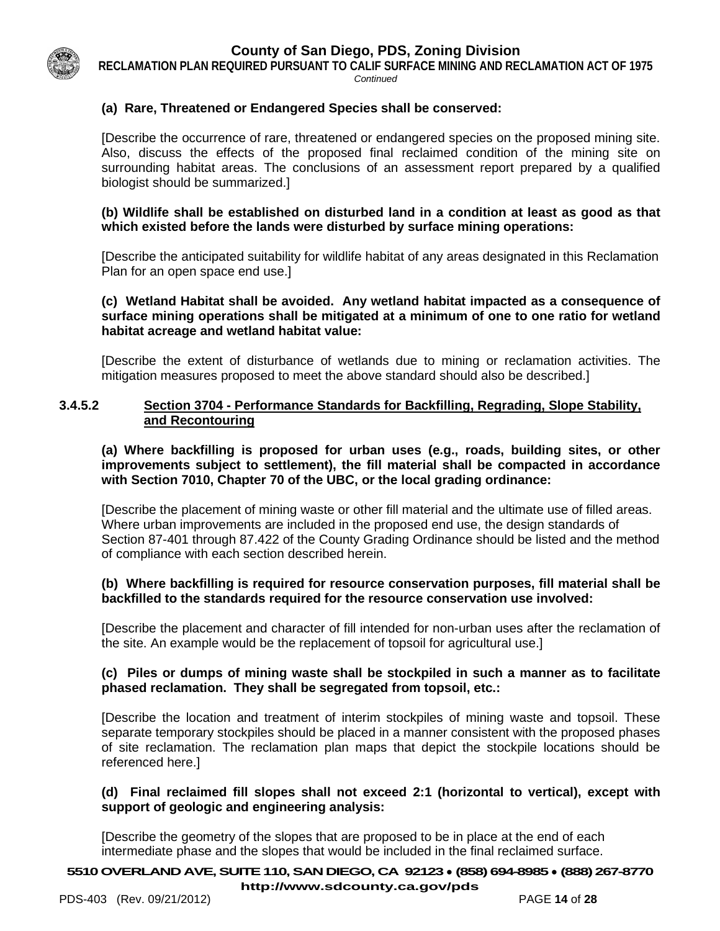

**RECLAMATION PLAN REQUIRED PURSUANT TO CALIF SURFACE MINING AND RECLAMATION ACT OF 1975** *Continued*

# **(a) Rare, Threatened or Endangered Species shall be conserved:**

[Describe the occurrence of rare, threatened or endangered species on the proposed mining site. Also, discuss the effects of the proposed final reclaimed condition of the mining site on surrounding habitat areas. The conclusions of an assessment report prepared by a qualified biologist should be summarized.]

#### **(b) Wildlife shall be established on disturbed land in a condition at least as good as that which existed before the lands were disturbed by surface mining operations:**

[Describe the anticipated suitability for wildlife habitat of any areas designated in this Reclamation Plan for an open space end use.]

# **(c) Wetland Habitat shall be avoided. Any wetland habitat impacted as a consequence of surface mining operations shall be mitigated at a minimum of one to one ratio for wetland habitat acreage and wetland habitat value:**

[Describe the extent of disturbance of wetlands due to mining or reclamation activities. The mitigation measures proposed to meet the above standard should also be described.]

#### **3.4.5.2 Section 3704 - Performance Standards for Backfilling, Regrading, Slope Stability, and Recontouring**

**(a) Where backfilling is proposed for urban uses (e.g., roads, building sites, or other improvements subject to settlement), the fill material shall be compacted in accordance with Section 7010, Chapter 70 of the UBC, or the local grading ordinance:**

[Describe the placement of mining waste or other fill material and the ultimate use of filled areas. Where urban improvements are included in the proposed end use, the design standards of Section 87-401 through 87.422 of the County Grading Ordinance should be listed and the method of compliance with each section described herein.

# **(b) Where backfilling is required for resource conservation purposes, fill material shall be backfilled to the standards required for the resource conservation use involved:**

[Describe the placement and character of fill intended for non-urban uses after the reclamation of the site. An example would be the replacement of topsoil for agricultural use.]

# **(c) Piles or dumps of mining waste shall be stockpiled in such a manner as to facilitate phased reclamation. They shall be segregated from topsoil, etc.:**

[Describe the location and treatment of interim stockpiles of mining waste and topsoil. These separate temporary stockpiles should be placed in a manner consistent with the proposed phases of site reclamation. The reclamation plan maps that depict the stockpile locations should be referenced here.]

# **(d) Final reclaimed fill slopes shall not exceed 2:1 (horizontal to vertical), except with support of geologic and engineering analysis:**

[Describe the geometry of the slopes that are proposed to be in place at the end of each intermediate phase and the slopes that would be included in the final reclaimed surface.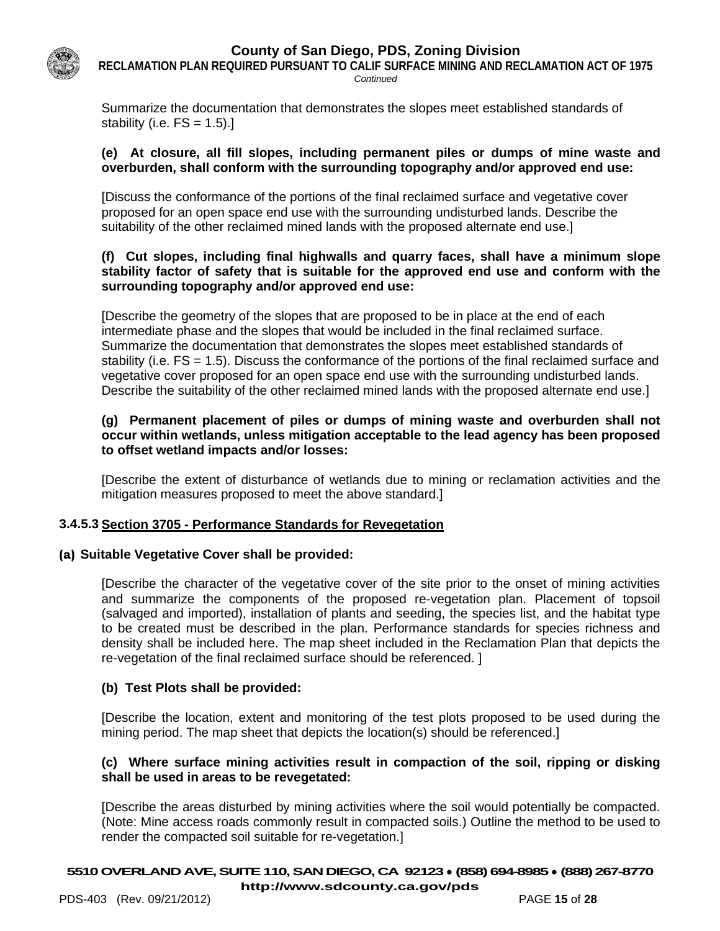

**RECLAMATION PLAN REQUIRED PURSUANT TO CALIF SURFACE MINING AND RECLAMATION ACT OF 1975** *Continued*

Summarize the documentation that demonstrates the slopes meet established standards of stability (i.e.  $FS = 1.5$ ).]

#### **(e) At closure, all fill slopes, including permanent piles or dumps of mine waste and overburden, shall conform with the surrounding topography and/or approved end use:**

[Discuss the conformance of the portions of the final reclaimed surface and vegetative cover proposed for an open space end use with the surrounding undisturbed lands. Describe the suitability of the other reclaimed mined lands with the proposed alternate end use.]

#### **(f) Cut slopes, including final highwalls and quarry faces, shall have a minimum slope stability factor of safety that is suitable for the approved end use and conform with the surrounding topography and/or approved end use:**

[Describe the geometry of the slopes that are proposed to be in place at the end of each intermediate phase and the slopes that would be included in the final reclaimed surface. Summarize the documentation that demonstrates the slopes meet established standards of stability (i.e. FS = 1.5). Discuss the conformance of the portions of the final reclaimed surface and vegetative cover proposed for an open space end use with the surrounding undisturbed lands. Describe the suitability of the other reclaimed mined lands with the proposed alternate end use.]

#### **(g) Permanent placement of piles or dumps of mining waste and overburden shall not occur within wetlands, unless mitigation acceptable to the lead agency has been proposed to offset wetland impacts and/or losses:**

[Describe the extent of disturbance of wetlands due to mining or reclamation activities and the mitigation measures proposed to meet the above standard.]

# **3.4.5.3 Section 3705 - Performance Standards for Revegetation**

#### **(a) Suitable Vegetative Cover shall be provided:**

[Describe the character of the vegetative cover of the site prior to the onset of mining activities and summarize the components of the proposed re-vegetation plan. Placement of topsoil (salvaged and imported), installation of plants and seeding, the species list, and the habitat type to be created must be described in the plan. Performance standards for species richness and density shall be included here. The map sheet included in the Reclamation Plan that depicts the re-vegetation of the final reclaimed surface should be referenced. ]

# **(b) Test Plots shall be provided:**

[Describe the location, extent and monitoring of the test plots proposed to be used during the mining period. The map sheet that depicts the location(s) should be referenced.]

#### **(c) Where surface mining activities result in compaction of the soil, ripping or disking shall be used in areas to be revegetated:**

[Describe the areas disturbed by mining activities where the soil would potentially be compacted. (Note: Mine access roads commonly result in compacted soils.) Outline the method to be used to render the compacted soil suitable for re-vegetation.]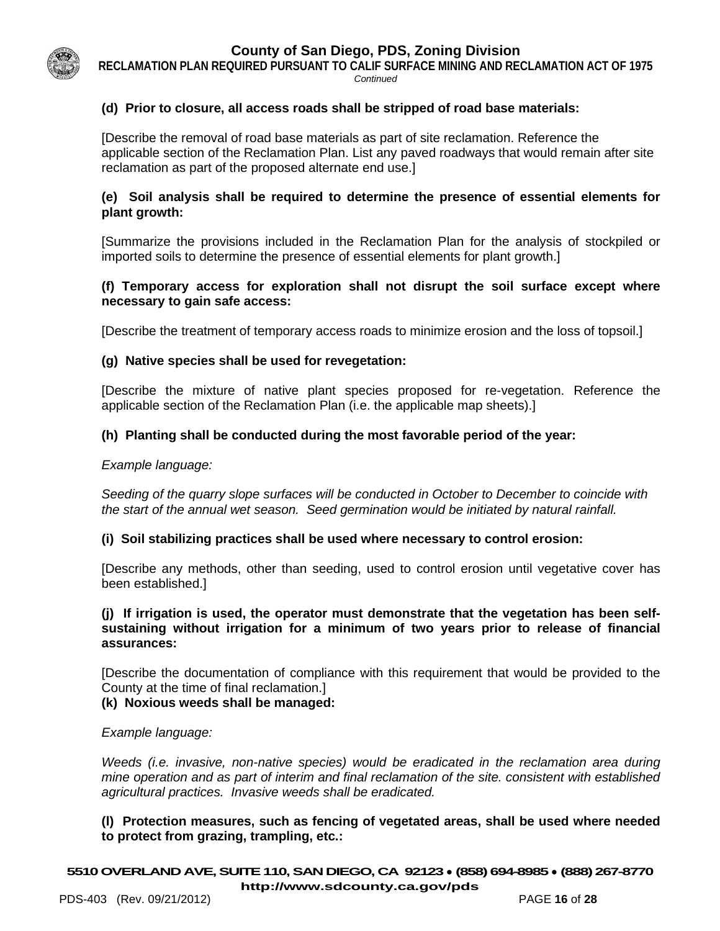

**RECLAMATION PLAN REQUIRED PURSUANT TO CALIF SURFACE MINING AND RECLAMATION ACT OF 1975** *Continued*

#### **(d) Prior to closure, all access roads shall be stripped of road base materials:**

[Describe the removal of road base materials as part of site reclamation. Reference the applicable section of the Reclamation Plan. List any paved roadways that would remain after site reclamation as part of the proposed alternate end use.]

#### **(e) Soil analysis shall be required to determine the presence of essential elements for plant growth:**

[Summarize the provisions included in the Reclamation Plan for the analysis of stockpiled or imported soils to determine the presence of essential elements for plant growth.]

#### **(f) Temporary access for exploration shall not disrupt the soil surface except where necessary to gain safe access:**

[Describe the treatment of temporary access roads to minimize erosion and the loss of topsoil.]

#### **(g) Native species shall be used for revegetation:**

[Describe the mixture of native plant species proposed for re-vegetation. Reference the applicable section of the Reclamation Plan (i.e. the applicable map sheets).]

#### **(h) Planting shall be conducted during the most favorable period of the year:**

#### *Example language:*

*Seeding of the quarry slope surfaces will be conducted in October to December to coincide with the start of the annual wet season. Seed germination would be initiated by natural rainfall.*

#### **(i) Soil stabilizing practices shall be used where necessary to control erosion:**

[Describe any methods, other than seeding, used to control erosion until vegetative cover has been established.]

#### **(j) If irrigation is used, the operator must demonstrate that the vegetation has been selfsustaining without irrigation for a minimum of two years prior to release of financial assurances:**

[Describe the documentation of compliance with this requirement that would be provided to the County at the time of final reclamation.]

#### **(k) Noxious weeds shall be managed:**

#### *Example language:*

*Weeds (i.e. invasive, non-native species) would be eradicated in the reclamation area during mine operation and as part of interim and final reclamation of the site. consistent with established agricultural practices. Invasive weeds shall be eradicated.*

#### **(l) Protection measures, such as fencing of vegetated areas, shall be used where needed to protect from grazing, trampling, etc.:**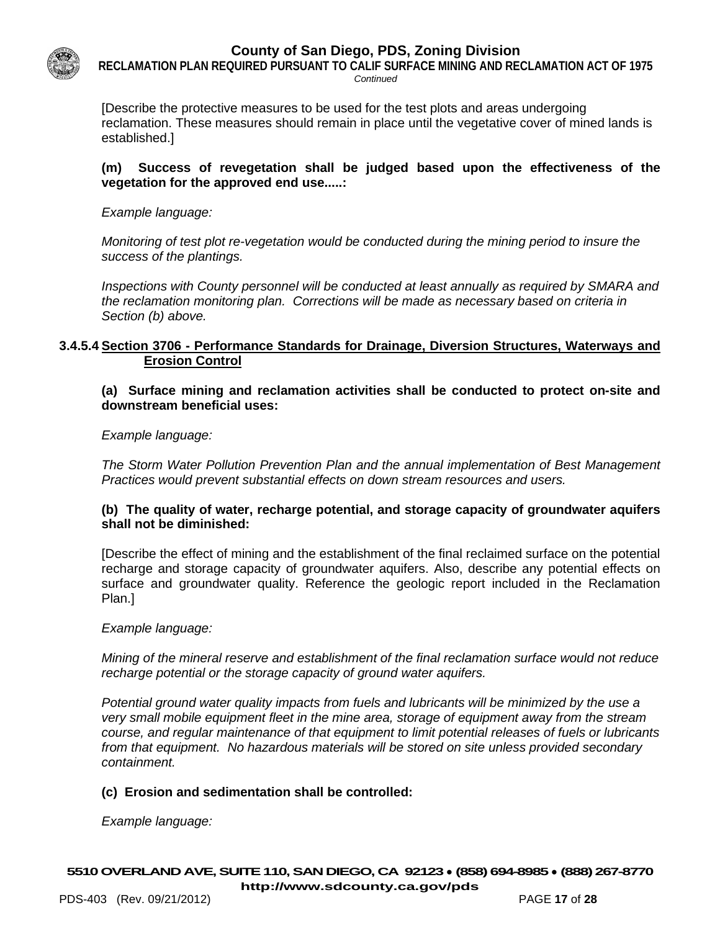

**RECLAMATION PLAN REQUIRED PURSUANT TO CALIF SURFACE MINING AND RECLAMATION ACT OF 1975** *Continued*

[Describe the protective measures to be used for the test plots and areas undergoing reclamation. These measures should remain in place until the vegetative cover of mined lands is established.]

#### **(m) Success of revegetation shall be judged based upon the effectiveness of the vegetation for the approved end use.....:**

*Example language:*

*Monitoring of test plot re-vegetation would be conducted during the mining period to insure the success of the plantings.* 

*Inspections with County personnel will be conducted at least annually as required by SMARA and the reclamation monitoring plan. Corrections will be made as necessary based on criteria in Section (b) above.*

#### **3.4.5.4 Section 3706 - Performance Standards for Drainage, Diversion Structures, Waterways and Erosion Control**

**(a) Surface mining and reclamation activities shall be conducted to protect on-site and downstream beneficial uses:**

*Example language:*

*The Storm Water Pollution Prevention Plan and the annual implementation of Best Management Practices would prevent substantial effects on down stream resources and users.* 

#### **(b) The quality of water, recharge potential, and storage capacity of groundwater aquifers shall not be diminished:**

[Describe the effect of mining and the establishment of the final reclaimed surface on the potential recharge and storage capacity of groundwater aquifers. Also, describe any potential effects on surface and groundwater quality. Reference the geologic report included in the Reclamation Plan.]

*Example language:*

*Mining of the mineral reserve and establishment of the final reclamation surface would not reduce recharge potential or the storage capacity of ground water aquifers.*

*Potential ground water quality impacts from fuels and lubricants will be minimized by the use a very small mobile equipment fleet in the mine area, storage of equipment away from the stream course, and regular maintenance of that equipment to limit potential releases of fuels or lubricants from that equipment. No hazardous materials will be stored on site unless provided secondary containment.*

# **(c) Erosion and sedimentation shall be controlled:**

*Example language:*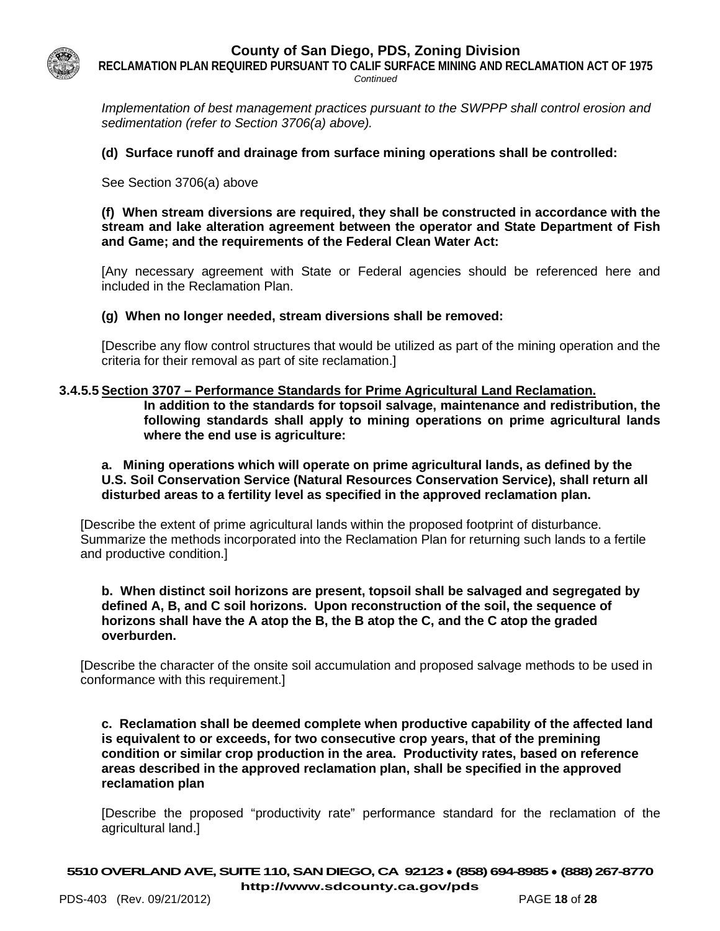

**RECLAMATION PLAN REQUIRED PURSUANT TO CALIF SURFACE MINING AND RECLAMATION ACT OF 1975** *Continued*

*Implementation of best management practices pursuant to the SWPPP shall control erosion and sedimentation (refer to Section 3706(a) above).*

#### **(d) Surface runoff and drainage from surface mining operations shall be controlled:**

See Section 3706(a) above

**(f) When stream diversions are required, they shall be constructed in accordance with the stream and lake alteration agreement between the operator and State Department of Fish and Game; and the requirements of the Federal Clean Water Act:**

[Any necessary agreement with State or Federal agencies should be referenced here and included in the Reclamation Plan.

#### **(g) When no longer needed, stream diversions shall be removed:**

[Describe any flow control structures that would be utilized as part of the mining operation and the criteria for their removal as part of site reclamation.]

#### **3.4.5.5 Section 3707 – Performance Standards for Prime Agricultural Land Reclamation.**

**In addition to the standards for topsoil salvage, maintenance and redistribution, the following standards shall apply to mining operations on prime agricultural lands where the end use is agriculture:**

#### **a. Mining operations which will operate on prime agricultural lands, as defined by the U.S. Soil Conservation Service (Natural Resources Conservation Service), shall return all disturbed areas to a fertility level as specified in the approved reclamation plan.**

[Describe the extent of prime agricultural lands within the proposed footprint of disturbance. Summarize the methods incorporated into the Reclamation Plan for returning such lands to a fertile and productive condition.]

#### **b. When distinct soil horizons are present, topsoil shall be salvaged and segregated by defined A, B, and C soil horizons. Upon reconstruction of the soil, the sequence of horizons shall have the A atop the B, the B atop the C, and the C atop the graded overburden.**

[Describe the character of the onsite soil accumulation and proposed salvage methods to be used in conformance with this requirement.]

**c. Reclamation shall be deemed complete when productive capability of the affected land is equivalent to or exceeds, for two consecutive crop years, that of the premining condition or similar crop production in the area. Productivity rates, based on reference areas described in the approved reclamation plan, shall be specified in the approved reclamation plan**

[Describe the proposed "productivity rate" performance standard for the reclamation of the agricultural land.]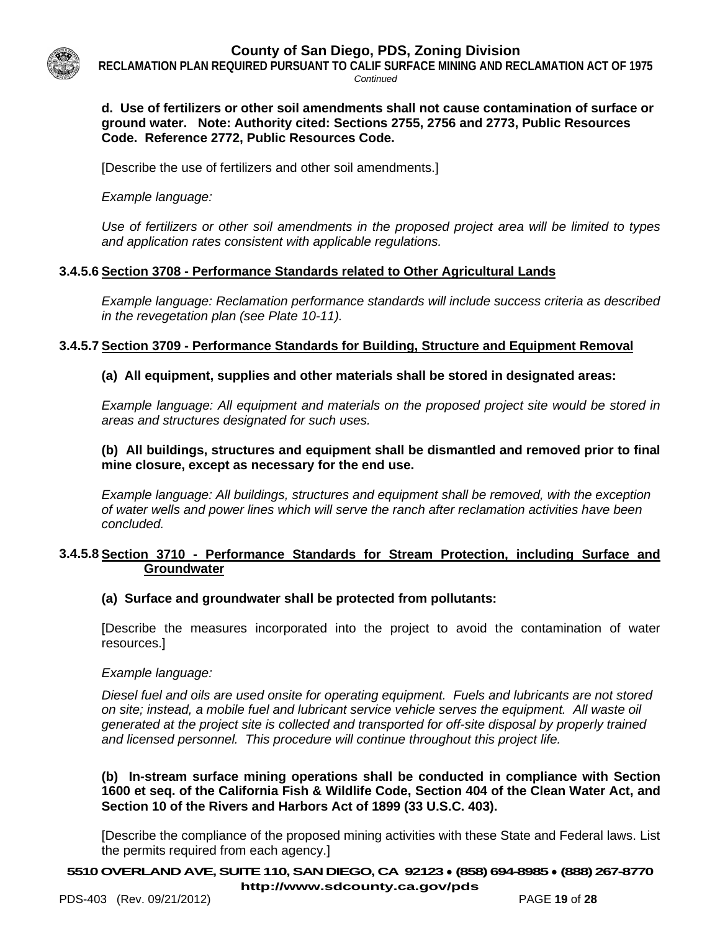

**RECLAMATION PLAN REQUIRED PURSUANT TO CALIF SURFACE MINING AND RECLAMATION ACT OF 1975**

*Continued*

#### **d. Use of fertilizers or other soil amendments shall not cause contamination of surface or ground water. Note: Authority cited: Sections 2755, 2756 and 2773, Public Resources Code. Reference 2772, Public Resources Code.**

[Describe the use of fertilizers and other soil amendments.]

*Example language:* 

*Use of fertilizers or other soil amendments in the proposed project area will be limited to types and application rates consistent with applicable regulations.* 

# **3.4.5.6 Section 3708 - Performance Standards related to Other Agricultural Lands**

*Example language: Reclamation performance standards will include success criteria as described in the revegetation plan (see Plate 10-11).*

# **3.4.5.7 Section 3709 - Performance Standards for Building, Structure and Equipment Removal**

# **(a) All equipment, supplies and other materials shall be stored in designated areas:**

*Example language: All equipment and materials on the proposed project site would be stored in areas and structures designated for such uses.*

# **(b) All buildings, structures and equipment shall be dismantled and removed prior to final mine closure, except as necessary for the end use.**

*Example language: All buildings, structures and equipment shall be removed, with the exception of water wells and power lines which will serve the ranch after reclamation activities have been concluded.*

#### **3.4.5.8 Section 3710 - Performance Standards for Stream Protection, including Surface and Groundwater**

# **(a) Surface and groundwater shall be protected from pollutants:**

[Describe the measures incorporated into the project to avoid the contamination of water resources.]

*Example language:*

*Diesel fuel and oils are used onsite for operating equipment. Fuels and lubricants are not stored on site; instead, a mobile fuel and lubricant service vehicle serves the equipment. All waste oil generated at the project site is collected and transported for off-site disposal by properly trained and licensed personnel. This procedure will continue throughout this project life.*

**(b) In-stream surface mining operations shall be conducted in compliance with Section 1600 et seq. of the California Fish & Wildlife Code, Section 404 of the Clean Water Act, and Section 10 of the Rivers and Harbors Act of 1899 (33 U.S.C. 403).**

[Describe the compliance of the proposed mining activities with these State and Federal laws. List the permits required from each agency.]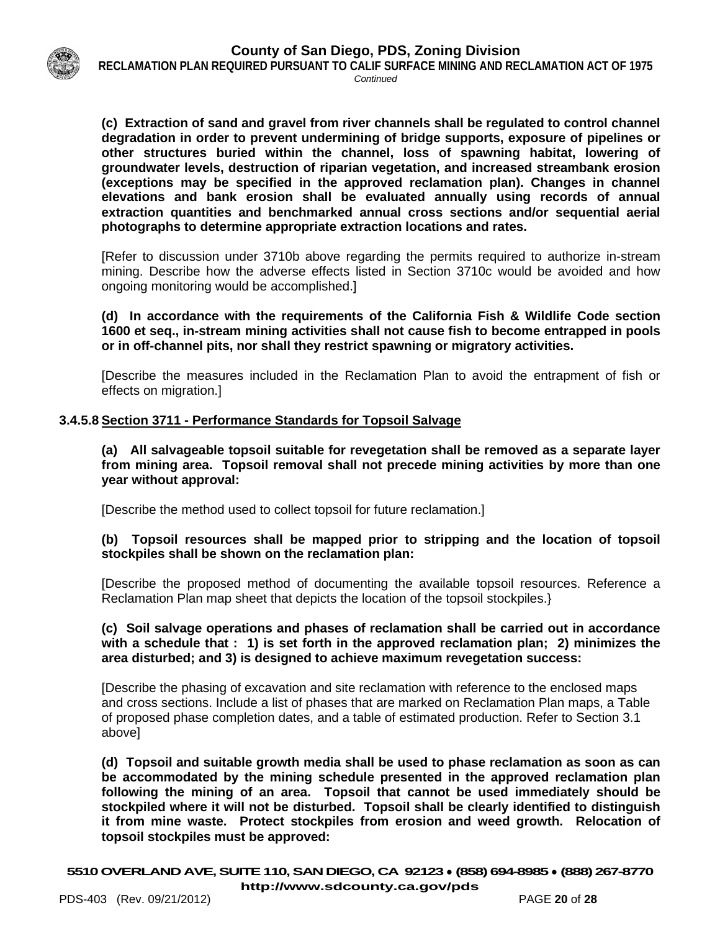

**RECLAMATION PLAN REQUIRED PURSUANT TO CALIF SURFACE MINING AND RECLAMATION ACT OF 1975** *Continued*

**(c) Extraction of sand and gravel from river channels shall be regulated to control channel degradation in order to prevent undermining of bridge supports, exposure of pipelines or other structures buried within the channel, loss of spawning habitat, lowering of groundwater levels, destruction of riparian vegetation, and increased streambank erosion (exceptions may be specified in the approved reclamation plan). Changes in channel elevations and bank erosion shall be evaluated annually using records of annual extraction quantities and benchmarked annual cross sections and/or sequential aerial photographs to determine appropriate extraction locations and rates.** 

[Refer to discussion under 3710b above regarding the permits required to authorize in-stream mining. Describe how the adverse effects listed in Section 3710c would be avoided and how ongoing monitoring would be accomplished.]

**(d) In accordance with the requirements of the California Fish & Wildlife Code section 1600 et seq., in-stream mining activities shall not cause fish to become entrapped in pools or in off-channel pits, nor shall they restrict spawning or migratory activities.** 

[Describe the measures included in the Reclamation Plan to avoid the entrapment of fish or effects on migration.]

#### **3.4.5.8 Section 3711 - Performance Standards for Topsoil Salvage**

**(a) All salvageable topsoil suitable for revegetation shall be removed as a separate layer from mining area. Topsoil removal shall not precede mining activities by more than one year without approval:**

[Describe the method used to collect topsoil for future reclamation.]

#### **(b) Topsoil resources shall be mapped prior to stripping and the location of topsoil stockpiles shall be shown on the reclamation plan:**

[Describe the proposed method of documenting the available topsoil resources. Reference a Reclamation Plan map sheet that depicts the location of the topsoil stockpiles.}

#### **(c) Soil salvage operations and phases of reclamation shall be carried out in accordance with a schedule that : 1) is set forth in the approved reclamation plan; 2) minimizes the area disturbed; and 3) is designed to achieve maximum revegetation success:**

[Describe the phasing of excavation and site reclamation with reference to the enclosed maps and cross sections. Include a list of phases that are marked on Reclamation Plan maps, a Table of proposed phase completion dates, and a table of estimated production. Refer to Section 3.1 above]

**(d) Topsoil and suitable growth media shall be used to phase reclamation as soon as can be accommodated by the mining schedule presented in the approved reclamation plan following the mining of an area. Topsoil that cannot be used immediately should be stockpiled where it will not be disturbed. Topsoil shall be clearly identified to distinguish it from mine waste. Protect stockpiles from erosion and weed growth. Relocation of topsoil stockpiles must be approved:**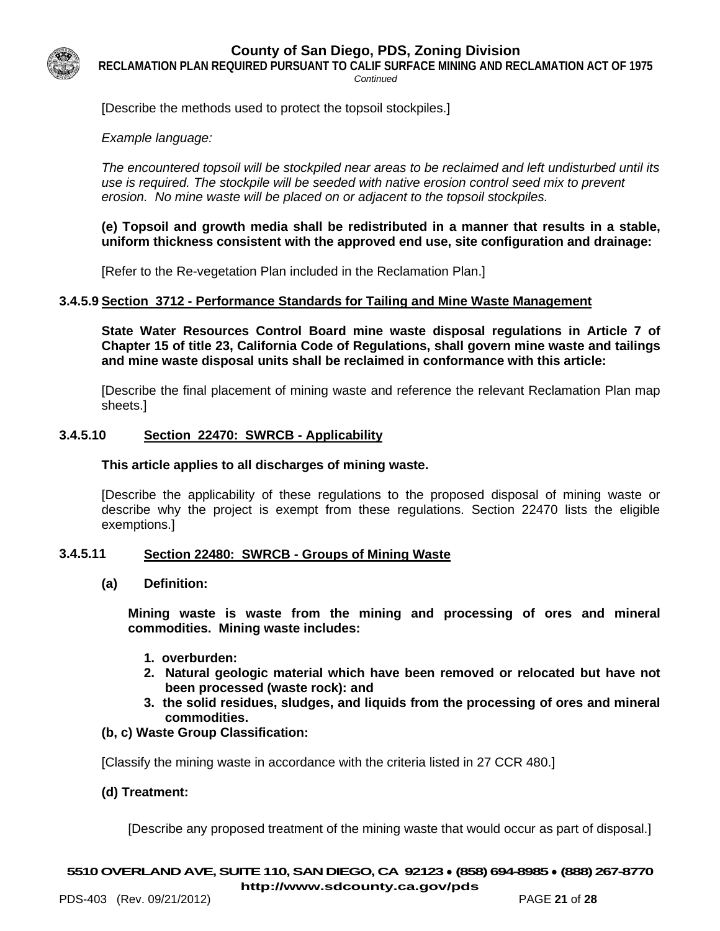

**RECLAMATION PLAN REQUIRED PURSUANT TO CALIF SURFACE MINING AND RECLAMATION ACT OF 1975**

*Continued*

[Describe the methods used to protect the topsoil stockpiles.]

#### *Example language:*

*The encountered topsoil will be stockpiled near areas to be reclaimed and left undisturbed until its use is required. The stockpile will be seeded with native erosion control seed mix to prevent erosion. No mine waste will be placed on or adjacent to the topsoil stockpiles.*

#### **(e) Topsoil and growth media shall be redistributed in a manner that results in a stable, uniform thickness consistent with the approved end use, site configuration and drainage:**

[Refer to the Re-vegetation Plan included in the Reclamation Plan.]

#### **3.4.5.9 Section 3712 - Performance Standards for Tailing and Mine Waste Management**

**State Water Resources Control Board mine waste disposal regulations in Article 7 of Chapter 15 of title 23, California Code of Regulations, shall govern mine waste and tailings and mine waste disposal units shall be reclaimed in conformance with this article:** 

[Describe the final placement of mining waste and reference the relevant Reclamation Plan map sheets.]

#### **3.4.5.10 Section 22470: SWRCB - Applicability**

#### **This article applies to all discharges of mining waste.**

[Describe the applicability of these regulations to the proposed disposal of mining waste or describe why the project is exempt from these regulations. Section 22470 lists the eligible exemptions.]

#### **3.4.5.11 Section 22480: SWRCB - Groups of Mining Waste**

**(a) Definition:** 

**Mining waste is waste from the mining and processing of ores and mineral commodities. Mining waste includes:**

- **1. overburden:**
- **2. Natural geologic material which have been removed or relocated but have not been processed (waste rock): and**
- **3. the solid residues, sludges, and liquids from the processing of ores and mineral commodities.**

# **(b, c) Waste Group Classification:**

[Classify the mining waste in accordance with the criteria listed in 27 CCR 480.]

# **(d) Treatment:**

[Describe any proposed treatment of the mining waste that would occur as part of disposal.]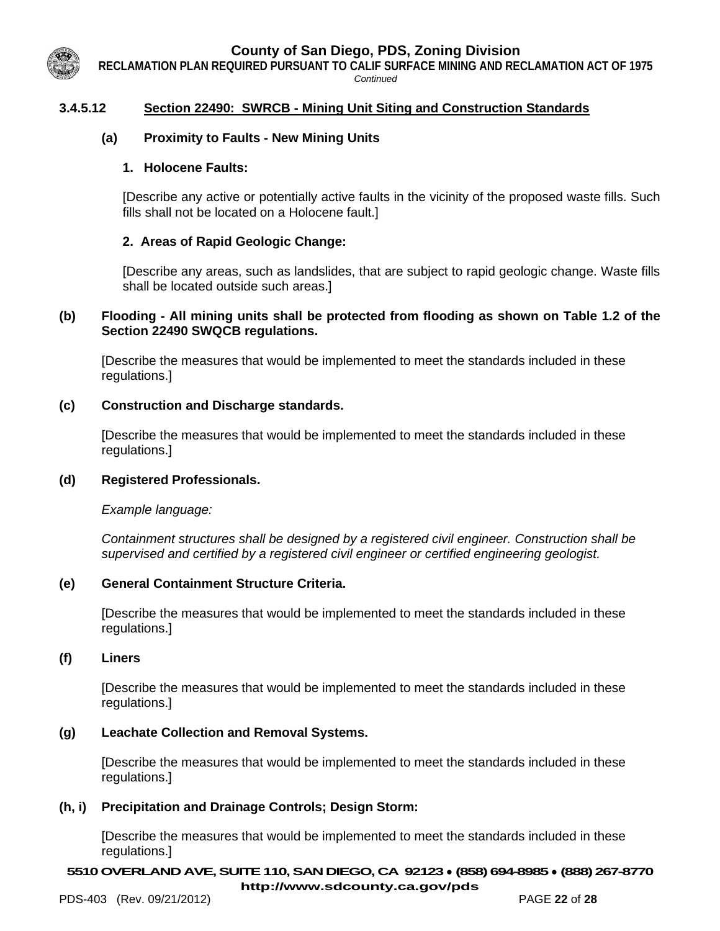**RECLAMATION PLAN REQUIRED PURSUANT TO CALIF SURFACE MINING AND RECLAMATION ACT OF 1975**

*Continued*

# **3.4.5.12 Section 22490: SWRCB - Mining Unit Siting and Construction Standards**

# **(a) Proximity to Faults - New Mining Units**

#### **1. Holocene Faults:**

[Describe any active or potentially active faults in the vicinity of the proposed waste fills. Such fills shall not be located on a Holocene fault.]

# **2. Areas of Rapid Geologic Change:**

[Describe any areas, such as landslides, that are subject to rapid geologic change. Waste fills shall be located outside such areas.]

#### **(b) Flooding - All mining units shall be protected from flooding as shown on Table 1.2 of the Section 22490 SWQCB regulations.**

[Describe the measures that would be implemented to meet the standards included in these regulations.]

#### **(c) Construction and Discharge standards.**

[Describe the measures that would be implemented to meet the standards included in these regulations.]

#### **(d) Registered Professionals.**

*Example language:* 

*Containment structures shall be designed by a registered civil engineer. Construction shall be supervised and certified by a registered civil engineer or certified engineering geologist.* 

#### **(e) General Containment Structure Criteria.**

[Describe the measures that would be implemented to meet the standards included in these regulations.]

#### **(f) Liners**

[Describe the measures that would be implemented to meet the standards included in these regulations.]

#### **(g) Leachate Collection and Removal Systems.**

[Describe the measures that would be implemented to meet the standards included in these regulations.]

#### **(h, i) Precipitation and Drainage Controls; Design Storm:**

[Describe the measures that would be implemented to meet the standards included in these regulations.]

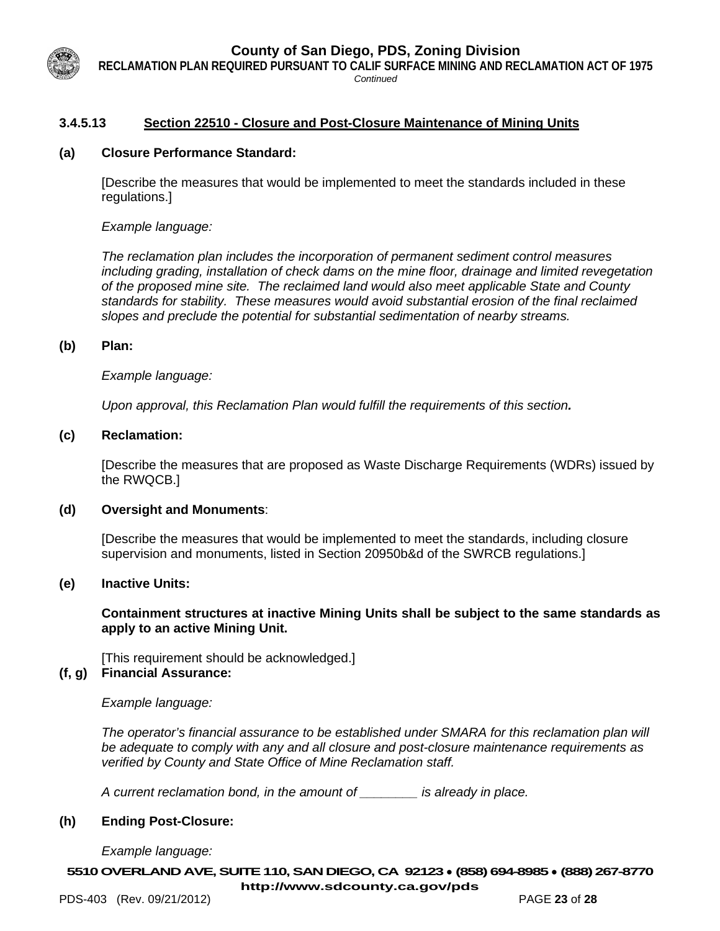**RECLAMATION PLAN REQUIRED PURSUANT TO CALIF SURFACE MINING AND RECLAMATION ACT OF 1975**

#### *Continued*

# **3.4.5.13 Section 22510 - Closure and Post-Closure Maintenance of Mining Units**

#### **(a) Closure Performance Standard:**

[Describe the measures that would be implemented to meet the standards included in these regulations.]

*Example language:*

*The reclamation plan includes the incorporation of permanent sediment control measures including grading, installation of check dams on the mine floor, drainage and limited revegetation of the proposed mine site. The reclaimed land would also meet applicable State and County standards for stability. These measures would avoid substantial erosion of the final reclaimed slopes and preclude the potential for substantial sedimentation of nearby streams.*

#### **(b) Plan:**

*Example language:*

*Upon approval, this Reclamation Plan would fulfill the requirements of this section.*

#### **(c) Reclamation:**

[Describe the measures that are proposed as Waste Discharge Requirements (WDRs) issued by the RWQCB.]

#### **(d) Oversight and Monuments**:

[Describe the measures that would be implemented to meet the standards, including closure supervision and monuments, listed in Section 20950b&d of the SWRCB regulations.]

#### **(e) Inactive Units:**

**Containment structures at inactive Mining Units shall be subject to the same standards as apply to an active Mining Unit.** 

[This requirement should be acknowledged.] **(f, g) Financial Assurance:**

*Example language:*

*The operator's financial assurance to be established under SMARA for this reclamation plan will be adequate to comply with any and all closure and post-closure maintenance requirements as verified by County and State Office of Mine Reclamation staff.* 

*A current reclamation bond, in the amount of \_\_\_\_\_\_\_\_ is already in place.*

#### **(h) Ending Post-Closure:**

*Example language:*

**5510OVERLAND AVE, SUITE 110, SAN DIEGO, CA 92123** ● **(858) 694-8985** ● **(888) 267-8770 <http://www.sdcounty.ca.gov/pds>**

PDS-403 (Rev. 09/21/2012) PAGE **23** of **28**

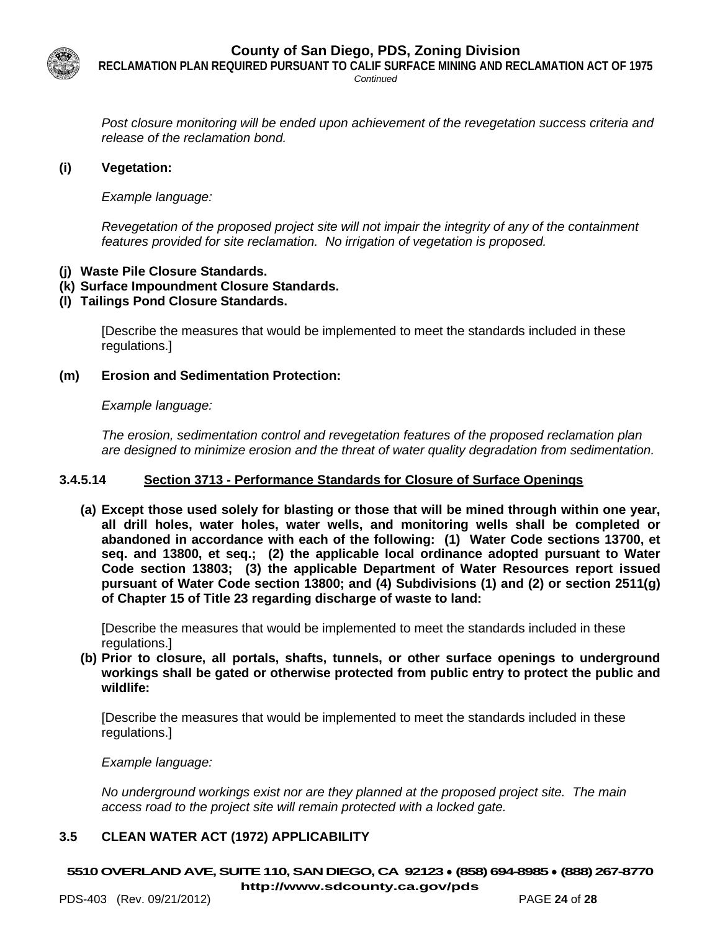

**RECLAMATION PLAN REQUIRED PURSUANT TO CALIF SURFACE MINING AND RECLAMATION ACT OF 1975**

*Continued*

*Post closure monitoring will be ended upon achievement of the revegetation success criteria and release of the reclamation bond.*

#### **(i) Vegetation:**

*Example language:*

*Revegetation of the proposed project site will not impair the integrity of any of the containment features provided for site reclamation. No irrigation of vegetation is proposed.*

- **(j) Waste Pile Closure Standards.**
- **(k) Surface Impoundment Closure Standards.**
- **(l) Tailings Pond Closure Standards.**

[Describe the measures that would be implemented to meet the standards included in these regulations.]

**(m) Erosion and Sedimentation Protection:** 

*Example language:*

*The erosion, sedimentation control and revegetation features of the proposed reclamation plan are designed to minimize erosion and the threat of water quality degradation from sedimentation.*

# **3.4.5.14 Section 3713 - Performance Standards for Closure of Surface Openings**

**(a) Except those used solely for blasting or those that will be mined through within one year, all drill holes, water holes, water wells, and monitoring wells shall be completed or abandoned in accordance with each of the following: (1) Water Code sections 13700, et seq. and 13800, et seq.; (2) the applicable local ordinance adopted pursuant to Water Code section 13803; (3) the applicable Department of Water Resources report issued pursuant of Water Code section 13800; and (4) Subdivisions (1) and (2) or section 2511(g) of Chapter 15 of Title 23 regarding discharge of waste to land:**

[Describe the measures that would be implemented to meet the standards included in these regulations.]

**(b) Prior to closure, all portals, shafts, tunnels, or other surface openings to underground workings shall be gated or otherwise protected from public entry to protect the public and wildlife:**

[Describe the measures that would be implemented to meet the standards included in these regulations.]

*Example language:*

*No underground workings exist nor are they planned at the proposed project site. The main access road to the project site will remain protected with a locked gate.*

# **3.5 CLEAN WATER ACT (1972) APPLICABILITY**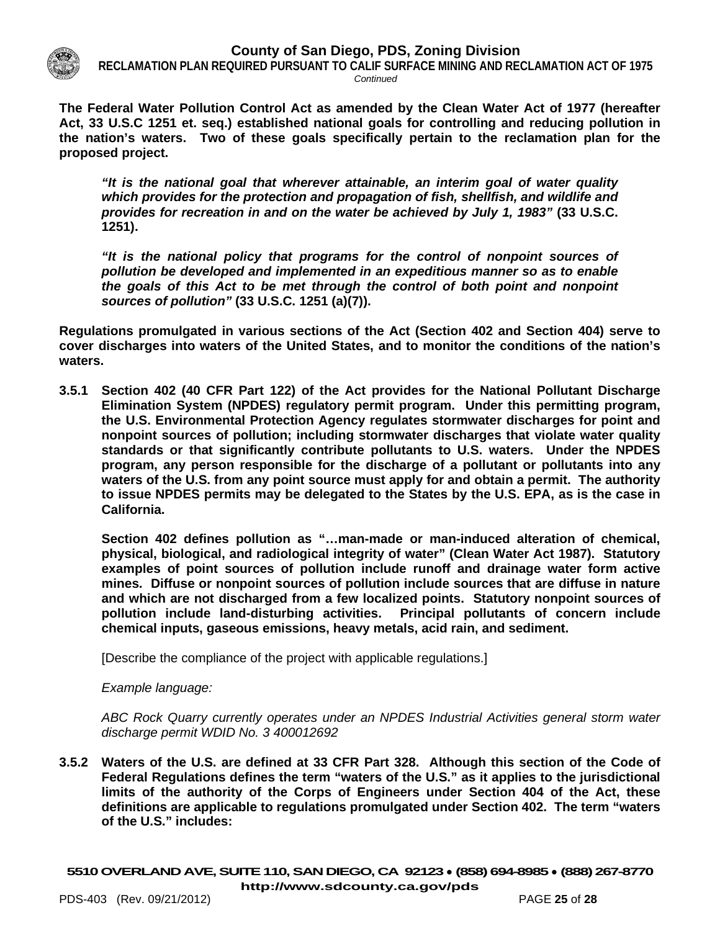

**RECLAMATION PLAN REQUIRED PURSUANT TO CALIF SURFACE MINING AND RECLAMATION ACT OF 1975** *Continued*

**The Federal Water Pollution Control Act as amended by the Clean Water Act of 1977 (hereafter Act, 33 U.S.C 1251 et. seq.) established national goals for controlling and reducing pollution in the nation's waters. Two of these goals specifically pertain to the reclamation plan for the proposed project.** 

*"It is the national goal that wherever attainable, an interim goal of water quality which provides for the protection and propagation of fish, shellfish, and wildlife and provides for recreation in and on the water be achieved by July 1, 1983"* **(33 U.S.C. 1251).**

*"It is the national policy that programs for the control of nonpoint sources of pollution be developed and implemented in an expeditious manner so as to enable the goals of this Act to be met through the control of both point and nonpoint sources of pollution"* **(33 U.S.C. 1251 (a)(7)).**

**Regulations promulgated in various sections of the Act (Section 402 and Section 404) serve to cover discharges into waters of the United States, and to monitor the conditions of the nation's waters.** 

**3.5.1 Section 402 (40 CFR Part 122) of the Act provides for the National Pollutant Discharge Elimination System (NPDES) regulatory permit program. Under this permitting program, the U.S. Environmental Protection Agency regulates stormwater discharges for point and nonpoint sources of pollution; including stormwater discharges that violate water quality standards or that significantly contribute pollutants to U.S. waters. Under the NPDES program, any person responsible for the discharge of a pollutant or pollutants into any waters of the U.S. from any point source must apply for and obtain a permit. The authority to issue NPDES permits may be delegated to the States by the U.S. EPA, as is the case in California.** 

**Section 402 defines pollution as "…man-made or man-induced alteration of chemical, physical, biological, and radiological integrity of water" (Clean Water Act 1987). Statutory examples of point sources of pollution include runoff and drainage water form active mines. Diffuse or nonpoint sources of pollution include sources that are diffuse in nature and which are not discharged from a few localized points. Statutory nonpoint sources of pollution include land-disturbing activities. Principal pollutants of concern include chemical inputs, gaseous emissions, heavy metals, acid rain, and sediment.**

[Describe the compliance of the project with applicable regulations.]

*Example language:*

*ABC Rock Quarry currently operates under an NPDES Industrial Activities general storm water discharge permit WDID No. 3 400012692*

**3.5.2 Waters of the U.S. are defined at 33 CFR Part 328. Although this section of the Code of Federal Regulations defines the term "waters of the U.S." as it applies to the jurisdictional limits of the authority of the Corps of Engineers under Section 404 of the Act, these definitions are applicable to regulations promulgated under Section 402. The term "waters of the U.S." includes:**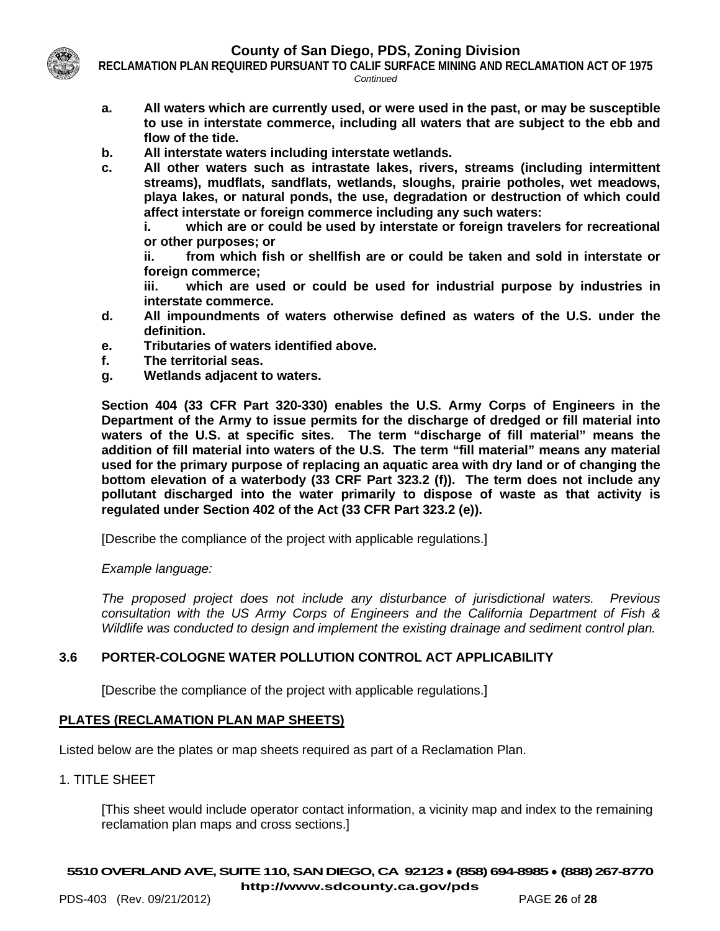

**RECLAMATION PLAN REQUIRED PURSUANT TO CALIF SURFACE MINING AND RECLAMATION ACT OF 1975** *Continued*

- **a. All waters which are currently used, or were used in the past, or may be susceptible to use in interstate commerce, including all waters that are subject to the ebb and flow of the tide.**
- **b. All interstate waters including interstate wetlands.**
- **c. All other waters such as intrastate lakes, rivers, streams (including intermittent streams), mudflats, sandflats, wetlands, sloughs, prairie potholes, wet meadows, playa lakes, or natural ponds, the use, degradation or destruction of which could affect interstate or foreign commerce including any such waters:**

**i. which are or could be used by interstate or foreign travelers for recreational or other purposes; or**

**ii. from which fish or shellfish are or could be taken and sold in interstate or foreign commerce;**

**iii. which are used or could be used for industrial purpose by industries in interstate commerce.**

- **d. All impoundments of waters otherwise defined as waters of the U.S. under the definition.**
- **e. Tributaries of waters identified above.**
- **f. The territorial seas.**
- **g. Wetlands adjacent to waters.**

**Section 404 (33 CFR Part 320-330) enables the U.S. Army Corps of Engineers in the Department of the Army to issue permits for the discharge of dredged or fill material into waters of the U.S. at specific sites. The term "discharge of fill material" means the addition of fill material into waters of the U.S. The term "fill material" means any material used for the primary purpose of replacing an aquatic area with dry land or of changing the bottom elevation of a waterbody (33 CRF Part 323.2 (f)). The term does not include any pollutant discharged into the water primarily to dispose of waste as that activity is regulated under Section 402 of the Act (33 CFR Part 323.2 (e)).** 

[Describe the compliance of the project with applicable regulations.]

# *Example language:*

*The proposed project does not include any disturbance of jurisdictional waters. Previous consultation with the US Army Corps of Engineers and the California Department of Fish & Wildlife was conducted to design and implement the existing drainage and sediment control plan.* 

# **3.6 PORTER-COLOGNE WATER POLLUTION CONTROL ACT APPLICABILITY**

[Describe the compliance of the project with applicable regulations.]

# **PLATES (RECLAMATION PLAN MAP SHEETS)**

Listed below are the plates or map sheets required as part of a Reclamation Plan.

# 1. TITLE SHEET

[This sheet would include operator contact information, a vicinity map and index to the remaining reclamation plan maps and cross sections.]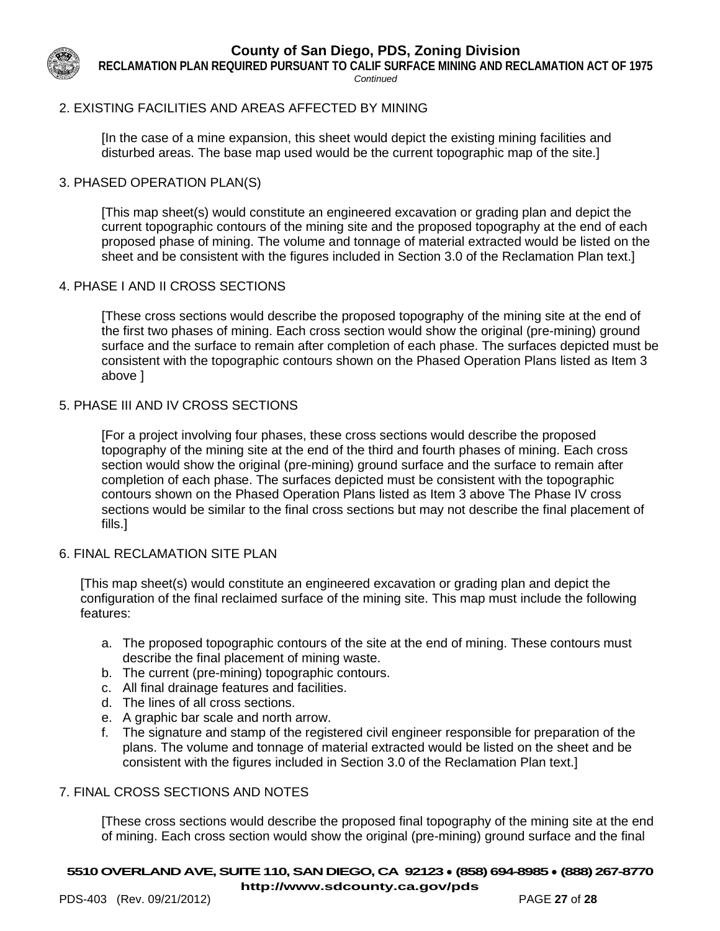

**RECLAMATION PLAN REQUIRED PURSUANT TO CALIF SURFACE MINING AND RECLAMATION ACT OF 1975**

*Continued*

# 2. EXISTING FACILITIES AND AREAS AFFECTED BY MINING

[In the case of a mine expansion, this sheet would depict the existing mining facilities and disturbed areas. The base map used would be the current topographic map of the site.]

#### 3. PHASED OPERATION PLAN(S)

[This map sheet(s) would constitute an engineered excavation or grading plan and depict the current topographic contours of the mining site and the proposed topography at the end of each proposed phase of mining. The volume and tonnage of material extracted would be listed on the sheet and be consistent with the figures included in Section 3.0 of the Reclamation Plan text.]

#### 4. PHASE I AND II CROSS SECTIONS

[These cross sections would describe the proposed topography of the mining site at the end of the first two phases of mining. Each cross section would show the original (pre-mining) ground surface and the surface to remain after completion of each phase. The surfaces depicted must be consistent with the topographic contours shown on the Phased Operation Plans listed as Item 3 above ]

#### 5. PHASE III AND IV CROSS SECTIONS

[For a project involving four phases, these cross sections would describe the proposed topography of the mining site at the end of the third and fourth phases of mining. Each cross section would show the original (pre-mining) ground surface and the surface to remain after completion of each phase. The surfaces depicted must be consistent with the topographic contours shown on the Phased Operation Plans listed as Item 3 above The Phase IV cross sections would be similar to the final cross sections but may not describe the final placement of fills.]

#### 6. FINAL RECLAMATION SITE PLAN

[This map sheet(s) would constitute an engineered excavation or grading plan and depict the configuration of the final reclaimed surface of the mining site. This map must include the following features:

- a. The proposed topographic contours of the site at the end of mining. These contours must describe the final placement of mining waste.
- b. The current (pre-mining) topographic contours.
- c. All final drainage features and facilities.
- d. The lines of all cross sections.
- e. A graphic bar scale and north arrow.
- f. The signature and stamp of the registered civil engineer responsible for preparation of the plans. The volume and tonnage of material extracted would be listed on the sheet and be consistent with the figures included in Section 3.0 of the Reclamation Plan text.]

# 7. FINAL CROSS SECTIONS AND NOTES

[These cross sections would describe the proposed final topography of the mining site at the end of mining. Each cross section would show the original (pre-mining) ground surface and the final